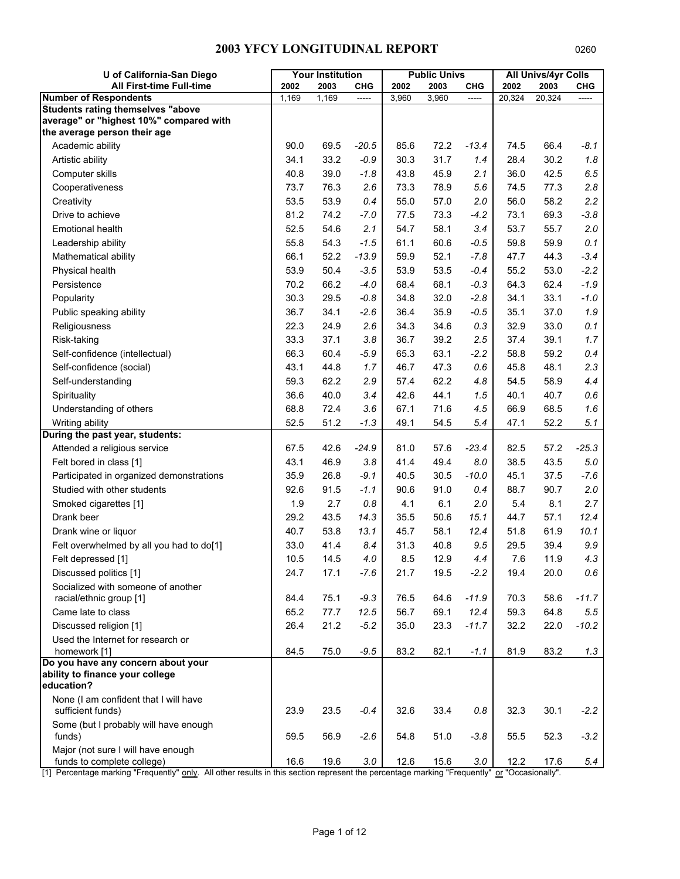| U of California-San Diego                                               |       | <b>Your Institution</b> |            |       | <b>Public Univs</b> |            |        | <b>All Univs/4yr Colls</b> |         |
|-------------------------------------------------------------------------|-------|-------------------------|------------|-------|---------------------|------------|--------|----------------------------|---------|
| All First-time Full-time                                                | 2002  | 2003                    | <b>CHG</b> | 2002  | 2003                | <b>CHG</b> | 2002   | 2003                       | CHG     |
| <b>Number of Respondents</b>                                            | 1,169 | 1,169                   |            | 3,960 | 3,960               | -----      | 20,324 | 20,324                     |         |
| <b>Students rating themselves "above</b>                                |       |                         |            |       |                     |            |        |                            |         |
| average" or "highest 10%" compared with<br>the average person their age |       |                         |            |       |                     |            |        |                            |         |
| Academic ability                                                        | 90.0  | 69.5                    | $-20.5$    | 85.6  | 72.2                | $-13.4$    | 74.5   | 66.4                       | $-8.1$  |
| Artistic ability                                                        | 34.1  | 33.2                    | $-0.9$     | 30.3  | 31.7                | 1.4        | 28.4   | 30.2                       | 1.8     |
| Computer skills                                                         | 40.8  | 39.0                    | $-1.8$     | 43.8  | 45.9                | 2.1        | 36.0   | 42.5                       | 6.5     |
| Cooperativeness                                                         | 73.7  | 76.3                    | 2.6        | 73.3  | 78.9                | 5.6        | 74.5   | 77.3                       | 2.8     |
| Creativity                                                              | 53.5  | 53.9                    | 0.4        | 55.0  | 57.0                | 2.0        | 56.0   | 58.2                       | 2.2     |
| Drive to achieve                                                        | 81.2  | 74.2                    | $-7.0$     | 77.5  | 73.3                | $-4.2$     | 73.1   | 69.3                       | $-3.8$  |
| <b>Emotional health</b>                                                 | 52.5  | 54.6                    | 2.1        | 54.7  | 58.1                | 3.4        | 53.7   | 55.7                       | 2.0     |
| Leadership ability                                                      | 55.8  | 54.3                    | $-1.5$     | 61.1  | 60.6                | $-0.5$     | 59.8   | 59.9                       | 0.1     |
| Mathematical ability                                                    | 66.1  | 52.2                    | $-13.9$    | 59.9  | 52.1                | $-7.8$     | 47.7   | 44.3                       | $-3.4$  |
| Physical health                                                         | 53.9  | 50.4                    | $-3.5$     | 53.9  | 53.5                | $-0.4$     | 55.2   | 53.0                       | $-2.2$  |
| Persistence                                                             | 70.2  | 66.2                    | $-4.0$     | 68.4  | 68.1                | $-0.3$     | 64.3   | 62.4                       | $-1.9$  |
| Popularity                                                              | 30.3  | 29.5                    | $-0.8$     | 34.8  | 32.0                | $-2.8$     | 34.1   | 33.1                       | $-1.0$  |
| Public speaking ability                                                 | 36.7  | 34.1                    | $-2.6$     | 36.4  | 35.9                | $-0.5$     | 35.1   | 37.0                       | 1.9     |
| Religiousness                                                           | 22.3  | 24.9                    | 2.6        | 34.3  | 34.6                | 0.3        | 32.9   | 33.0                       | 0.1     |
| Risk-taking                                                             | 33.3  | 37.1                    | 3.8        | 36.7  | 39.2                | 2.5        | 37.4   | 39.1                       | 1.7     |
| Self-confidence (intellectual)                                          | 66.3  | 60.4                    | $-5.9$     | 65.3  | 63.1                | $-2.2$     | 58.8   | 59.2                       | 0.4     |
| Self-confidence (social)                                                | 43.1  | 44.8                    | 1.7        | 46.7  | 47.3                | 0.6        | 45.8   | 48.1                       | 2.3     |
| Self-understanding                                                      | 59.3  | 62.2                    | 2.9        | 57.4  | 62.2                | 4.8        | 54.5   | 58.9                       | 4.4     |
| Spirituality                                                            | 36.6  | 40.0                    | 3.4        | 42.6  | 44.1                | 1.5        | 40.1   | 40.7                       | 0.6     |
| Understanding of others                                                 | 68.8  | 72.4                    | 3.6        | 67.1  | 71.6                | 4.5        | 66.9   | 68.5                       | 1.6     |
| Writing ability                                                         | 52.5  | 51.2                    | $-1.3$     | 49.1  | 54.5                | 5.4        | 47.1   | 52.2                       | 5.1     |
| During the past year, students:                                         |       |                         |            |       |                     |            |        |                            |         |
| Attended a religious service                                            | 67.5  | 42.6                    | $-24.9$    | 81.0  | 57.6                | $-23.4$    | 82.5   | 57.2                       | $-25.3$ |
| Felt bored in class [1]                                                 | 43.1  | 46.9                    | 3.8        | 41.4  | 49.4                | 8.0        | 38.5   | 43.5                       | 5.0     |
| Participated in organized demonstrations                                | 35.9  | 26.8                    | $-9.1$     | 40.5  | 30.5                | $-10.0$    | 45.1   | 37.5                       | $-7.6$  |
| Studied with other students                                             | 92.6  | 91.5                    | $-1.1$     | 90.6  | 91.0                | 0.4        | 88.7   | 90.7                       | 2.0     |
| Smoked cigarettes [1]                                                   | 1.9   | 2.7                     | 0.8        | 4.1   | 6.1                 | 2.0        | 5.4    | 8.1                        | 2.7     |
| Drank beer                                                              | 29.2  | 43.5                    | 14.3       | 35.5  | 50.6                | 15.1       | 44.7   | 57.1                       | 12.4    |
| Drank wine or liquor                                                    | 40.7  | 53.8                    | 13.1       | 45.7  | 58.1                | 12.4       | 51.8   | 61.9                       | 10.1    |
| Felt overwhelmed by all you had to do[1]                                | 33.0  | 41.4                    | 8.4        | 31.3  | 40.8                | 9.5        | 29.5   | 39.4                       | 9.9     |
| Felt depressed [1]                                                      | 10.5  | 14.5                    | 4.0        | 8.5   | 12.9                | 4.4        | 7.6    | 11.9                       | 4.3     |
| Discussed politics [1]                                                  | 24.7  | 17.1                    | $-7.6$     | 21.7  | 19.5                | $-2.2$     | 19.4   | 20.0                       | 0.6     |
| Socialized with someone of another                                      |       |                         |            |       |                     |            |        |                            |         |
| racial/ethnic group [1]                                                 | 84.4  | 75.1                    | $-9.3$     | 76.5  | 64.6                | $-11.9$    | 70.3   | 58.6                       | $-11.7$ |
| Came late to class                                                      | 65.2  | 77.7                    | 12.5       | 56.7  | 69.1                | 12.4       | 59.3   | 64.8                       | 5.5     |
| Discussed religion [1]                                                  | 26.4  | 21.2                    | $-5.2$     | 35.0  | 23.3                | $-11.7$    | 32.2   | 22.0                       | $-10.2$ |
| Used the Internet for research or                                       |       |                         |            |       |                     |            |        |                            |         |
| homework [1]                                                            | 84.5  | 75.0                    | $-9.5$     | 83.2  | 82.1                | $-1.1$     | 81.9   | 83.2                       | 1.3     |
| Do you have any concern about your                                      |       |                         |            |       |                     |            |        |                            |         |
| ability to finance your college<br>education?                           |       |                         |            |       |                     |            |        |                            |         |
| None (I am confident that I will have                                   |       |                         |            |       |                     |            |        |                            |         |
| sufficient funds)                                                       | 23.9  | 23.5                    | $-0.4$     | 32.6  | 33.4                | $0.8\,$    | 32.3   | 30.1                       | $-2.2$  |
| Some (but I probably will have enough                                   |       |                         |            |       |                     |            |        |                            |         |
| funds)                                                                  | 59.5  | 56.9                    | $-2.6$     | 54.8  | 51.0                | $-3.8$     | 55.5   | 52.3                       | $-3.2$  |
| Major (not sure I will have enough                                      |       |                         |            |       |                     |            |        |                            |         |
| funds to complete college)                                              | 16.6  | 19.6                    | 3.0        | 12.6  | 15.6                | 3.0        | 12.2   | 17.6                       | 5.4     |

[1] Percentage marking "Frequently" only. All other results in this section represent the percentage marking "Frequently" or "Occasionally".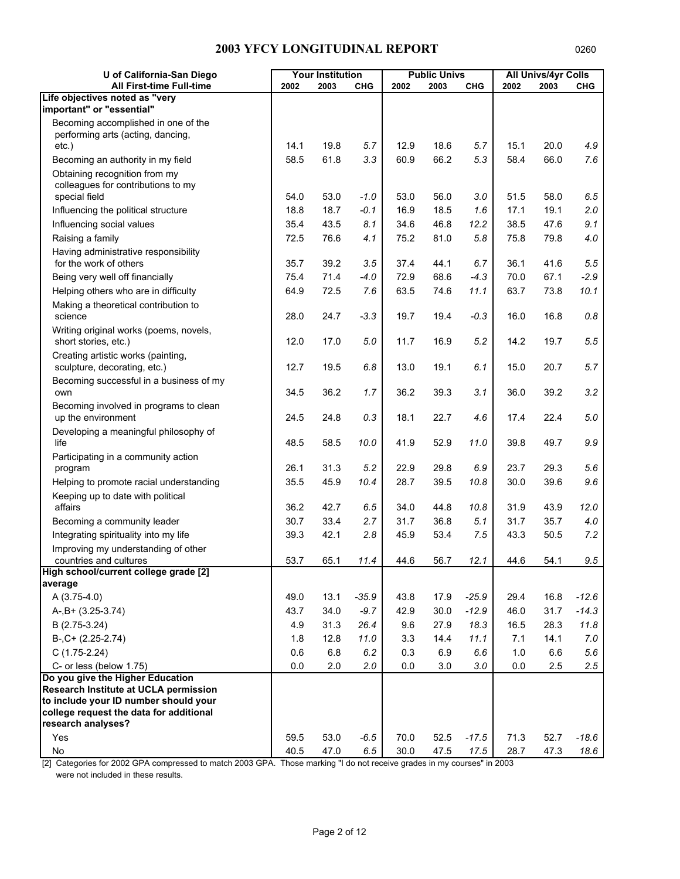| U of California-San Diego                                                        |         | <b>Your Institution</b> |            |      | <b>Public Univs</b> |            |         | <b>All Univs/4yr Colls</b> |            |
|----------------------------------------------------------------------------------|---------|-------------------------|------------|------|---------------------|------------|---------|----------------------------|------------|
| All First-time Full-time                                                         | 2002    | 2003                    | <b>CHG</b> | 2002 | 2003                | <b>CHG</b> | 2002    | 2003                       | <b>CHG</b> |
| Life objectives noted as "very<br>important" or "essential"                      |         |                         |            |      |                     |            |         |                            |            |
| Becoming accomplished in one of the                                              |         |                         |            |      |                     |            |         |                            |            |
| performing arts (acting, dancing,                                                |         |                         |            |      |                     |            |         |                            |            |
| $etc.$ )                                                                         | 14.1    | 19.8                    | 5.7        | 12.9 | 18.6                | 5.7        | 15.1    | 20.0                       | 4.9        |
| Becoming an authority in my field                                                | 58.5    | 61.8                    | 3.3        | 60.9 | 66.2                | 5.3        | 58.4    | 66.0                       | 7.6        |
| Obtaining recognition from my                                                    |         |                         |            |      |                     |            |         |                            |            |
| colleagues for contributions to my<br>special field                              | 54.0    | 53.0                    | $-1.0$     | 53.0 | 56.0                | 3.0        | 51.5    | 58.0                       | 6.5        |
| Influencing the political structure                                              | 18.8    | 18.7                    | $-0.1$     | 16.9 | 18.5                | 1.6        | 17.1    | 19.1                       | 2.0        |
| Influencing social values                                                        | 35.4    | 43.5                    | 8.1        | 34.6 | 46.8                | 12.2       | 38.5    | 47.6                       | 9.1        |
| Raising a family                                                                 | 72.5    | 76.6                    | 4.1        | 75.2 | 81.0                | 5.8        | 75.8    | 79.8                       | 4.0        |
| Having administrative responsibility                                             |         |                         |            |      |                     |            |         |                            |            |
| for the work of others                                                           | 35.7    | 39.2                    | 3.5        | 37.4 | 44.1                | 6.7        | 36.1    | 41.6                       | 5.5        |
| Being very well off financially                                                  | 75.4    | 71.4                    | $-4.0$     | 72.9 | 68.6                | $-4.3$     | 70.0    | 67.1                       | $-2.9$     |
| Helping others who are in difficulty                                             | 64.9    | 72.5                    | 7.6        | 63.5 | 74.6                | 11.1       | 63.7    | 73.8                       | 10.1       |
| Making a theoretical contribution to                                             |         |                         |            |      |                     |            |         |                            |            |
| science                                                                          | 28.0    | 24.7                    | $-3.3$     | 19.7 | 19.4                | $-0.3$     | 16.0    | 16.8                       | $0.8\,$    |
| Writing original works (poems, novels,                                           |         |                         |            |      |                     |            |         |                            |            |
| short stories, etc.)                                                             | 12.0    | 17.0                    | 5.0        | 11.7 | 16.9                | 5.2        | 14.2    | 19.7                       | 5.5        |
| Creating artistic works (painting,                                               | 12.7    | 19.5                    | 6.8        |      | 19.1                | 6.1        | 15.0    | 20.7                       | 5.7        |
| sculpture, decorating, etc.)<br>Becoming successful in a business of my          |         |                         |            | 13.0 |                     |            |         |                            |            |
| own                                                                              | 34.5    | 36.2                    | 1.7        | 36.2 | 39.3                | 3.1        | 36.0    | 39.2                       | 3.2        |
| Becoming involved in programs to clean                                           |         |                         |            |      |                     |            |         |                            |            |
| up the environment                                                               | 24.5    | 24.8                    | 0.3        | 18.1 | 22.7                | 4.6        | 17.4    | 22.4                       | 5.0        |
| Developing a meaningful philosophy of                                            |         |                         |            |      |                     |            |         |                            |            |
| life                                                                             | 48.5    | 58.5                    | 10.0       | 41.9 | 52.9                | 11.0       | 39.8    | 49.7                       | 9.9        |
| Participating in a community action                                              |         |                         |            |      |                     |            |         |                            |            |
| program                                                                          | 26.1    | 31.3                    | 5.2        | 22.9 | 29.8                | 6.9        | 23.7    | 29.3                       | 5.6        |
| Helping to promote racial understanding                                          | 35.5    | 45.9                    | 10.4       | 28.7 | 39.5                | 10.8       | 30.0    | 39.6                       | 9.6        |
| Keeping up to date with political<br>affairs                                     | 36.2    | 42.7                    | 6.5        | 34.0 | 44.8                | 10.8       | 31.9    | 43.9                       | 12.0       |
| Becoming a community leader                                                      | 30.7    | 33.4                    | 2.7        | 31.7 | 36.8                | 5.1        | 31.7    | 35.7                       | 4.0        |
| Integrating spirituality into my life                                            | 39.3    | 42.1                    | 2.8        | 45.9 | 53.4                | 7.5        | 43.3    | 50.5                       | 7.2        |
| Improving my understanding of other                                              |         |                         |            |      |                     |            |         |                            |            |
| countries and cultures                                                           | 53.7    | 65.1                    | 11.4       | 44.6 | 56.7                | 12.1       | 44.6    | 54.1                       | 9.5        |
| High school/current college grade [2]                                            |         |                         |            |      |                     |            |         |                            |            |
| average                                                                          |         |                         |            |      |                     |            |         |                            |            |
| A (3.75-4.0)                                                                     | 49.0    | 13.1                    | $-35.9$    | 43.8 | 17.9                | $-25.9$    | 29.4    | 16.8                       | $-12.6$    |
| $A-, B+ (3.25-3.74)$                                                             | 43.7    | 34.0                    | $-9.7$     | 42.9 | 30.0                | $-12.9$    | 46.0    | 31.7                       | $-14.3$    |
| B (2.75-3.24)                                                                    | 4.9     | 31.3                    | 26.4       | 9.6  | 27.9                | 18.3       | 16.5    | 28.3                       | 11.8       |
| $B-, C+ (2.25-2.74)$                                                             | 1.8     | 12.8                    | 11.0       | 3.3  | 14.4                | 11.1       | 7.1     | 14.1                       | 7.0        |
| $C(1.75-2.24)$                                                                   | 0.6     | 6.8                     | 6.2        | 0.3  | 6.9                 | 6.6        | $1.0$   | 6.6                        | 5.6        |
| C- or less (below 1.75)                                                          | $0.0\,$ | 2.0                     | 2.0        | 0.0  | 3.0                 | 3.0        | $0.0\,$ | 2.5                        | 2.5        |
| Do you give the Higher Education<br><b>Research Institute at UCLA permission</b> |         |                         |            |      |                     |            |         |                            |            |
| to include your ID number should your                                            |         |                         |            |      |                     |            |         |                            |            |
| college request the data for additional                                          |         |                         |            |      |                     |            |         |                            |            |
| research analyses?                                                               |         |                         |            |      |                     |            |         |                            |            |
| Yes                                                                              | 59.5    | 53.0                    | $-6.5$     | 70.0 | 52.5                | $-17.5$    | 71.3    | 52.7                       | $-18.6$    |
| No                                                                               | 40.5    | 47.0                    | 6.5        | 30.0 | 47.5                | 17.5       | 28.7    | 47.3                       | 18.6       |

[2] Categories for 2002 GPA compressed to match 2003 GPA. Those marking "I do not receive grades in my courses" in 2003 were not included in these results.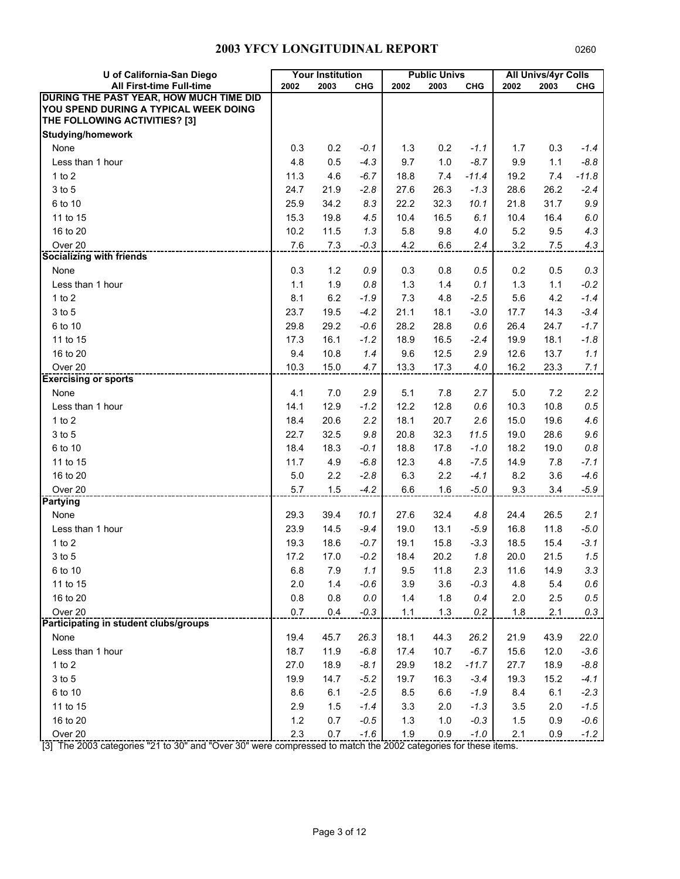| U of California-San Diego               |       | <b>Your Institution</b> |            |       | <b>Public Univs</b> |            |      | <b>All Univs/4yr Colls</b> |            |
|-----------------------------------------|-------|-------------------------|------------|-------|---------------------|------------|------|----------------------------|------------|
| All First-time Full-time                | 2002  | 2003                    | <b>CHG</b> | 2002  | 2003                | <b>CHG</b> | 2002 | 2003                       | <b>CHG</b> |
| DURING THE PAST YEAR, HOW MUCH TIME DID |       |                         |            |       |                     |            |      |                            |            |
| YOU SPEND DURING A TYPICAL WEEK DOING   |       |                         |            |       |                     |            |      |                            |            |
| THE FOLLOWING ACTIVITIES? [3]           |       |                         |            |       |                     |            |      |                            |            |
| <b>Studying/homework</b>                |       |                         |            |       |                     |            |      |                            |            |
| None                                    | 0.3   | 0.2                     | $-0.1$     | 1.3   | 0.2                 | $-1.1$     | 1.7  | 0.3                        | $-1.4$     |
| Less than 1 hour                        | 4.8   | 0.5                     | $-4.3$     | 9.7   | 1.0                 | $-8.7$     | 9.9  | 1.1                        | $-8.8$     |
| 1 to $2$                                | 11.3  | 4.6                     | $-6.7$     | 18.8  | 7.4                 | $-11.4$    | 19.2 | 7.4                        | $-11.8$    |
| 3 to 5                                  | 24.7  | 21.9                    | $-2.8$     | 27.6  | 26.3                | $-1.3$     | 28.6 | 26.2                       | $-2.4$     |
| 6 to 10                                 | 25.9  | 34.2                    | 8.3        | 22.2  | 32.3                | 10.1       | 21.8 | 31.7                       | 9.9        |
| 11 to 15                                | 15.3  | 19.8                    | 4.5        | 10.4  | 16.5                | 6.1        | 10.4 | 16.4                       | 6.0        |
| 16 to 20                                | 10.2  | 11.5                    | 1.3        | 5.8   | 9.8                 | 4.0        | 5.2  | 9.5                        | 4.3        |
| Over <sub>20</sub>                      | 7.6   | 7.3                     | $-0.3$     | 4.2   | 6.6                 | 2.4        | 3.2  | 7.5                        | 4.3        |
| <b>Socializing with friends</b>         |       |                         |            |       |                     |            |      |                            |            |
| None                                    | 0.3   | 1.2                     | 0.9        | 0.3   | 0.8                 | 0.5        | 0.2  | 0.5                        | 0.3        |
| Less than 1 hour                        | 1.1   | 1.9                     | 0.8        | 1.3   | 1.4                 | 0.1        | 1.3  | 1.1                        | $-0.2$     |
| $1$ to $2$                              | 8.1   | 6.2                     | $-1.9$     | 7.3   | 4.8                 | $-2.5$     | 5.6  | 4.2                        | $-1.4$     |
| 3 to 5                                  | 23.7  | 19.5                    | $-4.2$     | 21.1  | 18.1                | $-3.0$     | 17.7 | 14.3                       | $-3.4$     |
| 6 to 10                                 | 29.8  | 29.2                    | $-0.6$     | 28.2  | 28.8                | 0.6        | 26.4 | 24.7                       | $-1.7$     |
| 11 to 15                                | 17.3  | 16.1                    | $-1.2$     | 18.9  | 16.5                | $-2.4$     | 19.9 | 18.1                       | $-1.8$     |
| 16 to 20                                | 9.4   | 10.8                    | 1.4        | 9.6   | 12.5                | 2.9        | 12.6 | 13.7                       | 1.1        |
| Over <sub>20</sub>                      | 10.3  | 15.0                    | 4.7        | 13.3  | 17.3                | 4.0        | 16.2 | 23.3                       | 7.1        |
| <b>Exercising or sports</b>             |       |                         |            |       |                     |            |      |                            |            |
| None                                    | 4.1   | 7.0                     | 2.9        | 5.1   | 7.8                 | 2.7        | 5.0  | 7.2                        | 2.2        |
| Less than 1 hour                        | 14.1  | 12.9                    | $-1.2$     | 12.2  | 12.8                | 0.6        | 10.3 | 10.8                       | 0.5        |
| 1 to $2$                                | 18.4  | 20.6                    | 2.2        | 18.1  | 20.7                | 2.6        | 15.0 | 19.6                       | 4.6        |
| 3 to 5                                  | 22.7  | 32.5                    | 9.8        | 20.8  | 32.3                | 11.5       | 19.0 | 28.6                       | 9.6        |
| 6 to 10                                 | 18.4  | 18.3                    | $-0.1$     | 18.8  | 17.8                | $-1.0$     | 18.2 | 19.0                       | 0.8        |
| 11 to 15                                | 11.7  | 4.9                     | $-6.8$     | 12.3  | 4.8                 | $-7.5$     | 14.9 | 7.8                        | $-7.1$     |
| 16 to 20                                | 5.0   | 2.2                     | $-2.8$     | 6.3   | 2.2                 | $-4.1$     | 8.2  | 3.6                        | $-4.6$     |
| Over 20                                 | 5.7   | 1.5                     | $-4.2$     | 6.6   | 1.6                 | $-5.0$     | 9.3  | 3.4                        | $-5.9$     |
| <b>Partying</b>                         |       |                         |            |       |                     |            |      |                            |            |
| None                                    | 29.3  | 39.4                    | 10.1       | 27.6  | 32.4                | 4.8        | 24.4 | 26.5                       | 2.1        |
| Less than 1 hour                        | 23.9  | 14.5                    | $-9.4$     | 19.0  | 13.1                | $-5.9$     | 16.8 | 11.8                       | $-5.0$     |
| 1 to $2$                                | 19.3  | 18.6                    | $-0.7$     | 19.1  | 15.8                | $-3.3$     | 18.5 | 15.4                       | $-3.1$     |
| $3$ to $5$                              | 17.2  | 17.0                    | $-0.2$     | 18.4  | 20.2                | 1.8        | 20.0 | 21.5                       | 1.5        |
| 6 to 10                                 | 6.8   | 7.9                     | 1.1        | 9.5   | 11.8                | 2.3        | 11.6 | 14.9                       | 3.3        |
| 11 to 15                                | 2.0   | 1.4                     | $-0.6$     | 3.9   | 3.6                 | $-0.3$     | 4.8  | 5.4                        | 0.6        |
| 16 to 20                                | 0.8   | 0.8                     | $0.0\,$    | 1.4   | 1.8                 | 0.4        | 2.0  | 2.5                        | 0.5        |
| Over <sub>20</sub>                      | 0.7   | 0.4                     | $-0.3$     | $1.1$ | $1.3$               | 0.2        | 1.8  | 2.1                        | 0.3        |
| Participating in student clubs/groups   |       |                         |            |       |                     |            |      |                            |            |
| None                                    | 19.4  | 45.7                    | 26.3       | 18.1  | 44.3                | 26.2       | 21.9 | 43.9                       | 22.0       |
| Less than 1 hour                        | 18.7  | 11.9                    | $-6.8$     | 17.4  | 10.7                | $-6.7$     | 15.6 | 12.0                       | $-3.6$     |
| 1 to $2$                                | 27.0  | 18.9                    | $-8.1$     | 29.9  | 18.2                | $-11.7$    | 27.7 | 18.9                       | $-8.8$     |
| 3 to 5                                  | 19.9  | 14.7                    | $-5.2$     | 19.7  | 16.3                | $-3.4$     | 19.3 | 15.2                       | $-4.1$     |
| 6 to 10                                 | 8.6   | 6.1                     | $-2.5$     | 8.5   | 6.6                 | $-1.9$     | 8.4  | 6.1                        | $-2.3$     |
| 11 to 15                                | 2.9   | 1.5                     | $-1.4$     | 3.3   | 2.0                 | $-1.3$     | 3.5  | 2.0                        | $-1.5$     |
| 16 to 20                                | $1.2$ | 0.7                     | $-0.5$     | 1.3   | 1.0                 | $-0.3$     | 1.5  | 0.9                        | $-0.6$     |
| Over 20                                 | 2.3   | 0.7                     | $-1.6$     | 1.9   | 0.9                 | $-1.0$     | 2.1  | 0.9                        | $-1.2$     |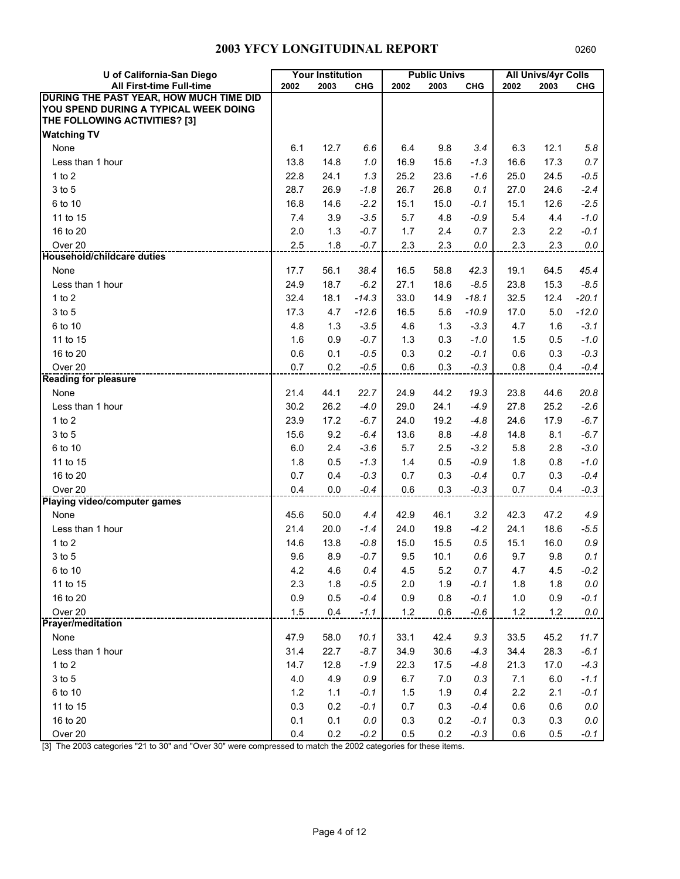| U of California-San Diego               |       | <b>Your Institution</b> |            |      | <b>Public Univs</b> |            |       | <b>All Univs/4yr Colls</b> |            |
|-----------------------------------------|-------|-------------------------|------------|------|---------------------|------------|-------|----------------------------|------------|
| All First-time Full-time                | 2002  | 2003                    | <b>CHG</b> | 2002 | 2003                | <b>CHG</b> | 2002  | 2003                       | <b>CHG</b> |
| DURING THE PAST YEAR, HOW MUCH TIME DID |       |                         |            |      |                     |            |       |                            |            |
| YOU SPEND DURING A TYPICAL WEEK DOING   |       |                         |            |      |                     |            |       |                            |            |
| THE FOLLOWING ACTIVITIES? [3]           |       |                         |            |      |                     |            |       |                            |            |
| <b>Watching TV</b>                      |       |                         |            |      |                     |            |       |                            |            |
| None                                    | 6.1   | 12.7                    | 6.6        | 6.4  | 9.8                 | 3.4        | 6.3   | 12.1                       | 5.8        |
| Less than 1 hour                        | 13.8  | 14.8                    | 1.0        | 16.9 | 15.6                | $-1.3$     | 16.6  | 17.3                       | 0.7        |
| 1 to $2$                                | 22.8  | 24.1                    | 1.3        | 25.2 | 23.6                | $-1.6$     | 25.0  | 24.5                       | $-0.5$     |
| 3 to 5                                  | 28.7  | 26.9                    | $-1.8$     | 26.7 | 26.8                | 0.1        | 27.0  | 24.6                       | $-2.4$     |
| 6 to 10                                 | 16.8  | 14.6                    | $-2.2$     | 15.1 | 15.0                | $-0.1$     | 15.1  | 12.6                       | $-2.5$     |
| 11 to 15                                | 7.4   | 3.9                     | $-3.5$     | 5.7  | 4.8                 | $-0.9$     | 5.4   | 4.4                        | $-1.0$     |
| 16 to 20                                | 2.0   | 1.3                     | $-0.7$     | 1.7  | 2.4                 | 0.7        | 2.3   | 2.2                        | $-0.1$     |
| Over <sub>20</sub>                      | 2.5   | 1.8                     | $-0.7$     | 2.3  | 2.3                 | 0.0        | 2.3   | 2.3                        | 0.0        |
| <b>Household/childcare duties</b>       |       |                         |            |      |                     |            |       |                            |            |
| None                                    | 17.7  | 56.1                    | 38.4       | 16.5 | 58.8                | 42.3       | 19.1  | 64.5                       | 45.4       |
| Less than 1 hour                        | 24.9  | 18.7                    | $-6.2$     | 27.1 | 18.6                | $-8.5$     | 23.8  | 15.3                       | $-8.5$     |
| $1$ to $2$                              | 32.4  | 18.1                    | $-14.3$    | 33.0 | 14.9                | $-18.1$    | 32.5  | 12.4                       | $-20.1$    |
| 3 to 5                                  | 17.3  | 4.7                     | $-12.6$    | 16.5 | 5.6                 | $-10.9$    | 17.0  | 5.0                        | $-12.0$    |
| 6 to 10                                 | 4.8   | 1.3                     | $-3.5$     | 4.6  | 1.3                 | $-3.3$     | 4.7   | 1.6                        | $-3.1$     |
| 11 to 15                                | 1.6   | 0.9                     | $-0.7$     | 1.3  | 0.3                 | $-1.0$     | 1.5   | 0.5                        | $-1.0$     |
| 16 to 20                                | 0.6   | 0.1                     | $-0.5$     | 0.3  | 0.2                 | $-0.1$     | 0.6   | 0.3                        | $-0.3$     |
| Over <sub>20</sub>                      | 0.7   | 0.2                     | $-0.5$     | 0.6  | 0.3                 | $-0.3$     | 0.8   | 0.4                        | $-0.4$     |
| <b>Reading for pleasure</b>             |       |                         |            |      |                     |            |       |                            |            |
| None                                    | 21.4  | 44.1                    | 22.7       | 24.9 | 44.2                | 19.3       | 23.8  | 44.6                       | 20.8       |
| Less than 1 hour                        | 30.2  | 26.2                    | $-4.0$     | 29.0 | 24.1                | $-4.9$     | 27.8  | 25.2                       | $-2.6$     |
| 1 to $2$                                | 23.9  | 17.2                    | $-6.7$     | 24.0 | 19.2                | $-4.8$     | 24.6  | 17.9                       | $-6.7$     |
| 3 to 5                                  | 15.6  | 9.2                     | $-6.4$     | 13.6 | 8.8                 | $-4.8$     | 14.8  | 8.1                        | $-6.7$     |
| 6 to 10                                 | 6.0   | 2.4                     | $-3.6$     | 5.7  | 2.5                 | $-3.2$     | 5.8   | 2.8                        | $-3.0$     |
| 11 to 15                                | 1.8   | 0.5                     | $-1.3$     | 1.4  | 0.5                 | $-0.9$     | 1.8   | 0.8                        | $-1.0$     |
| 16 to 20                                | 0.7   | 0.4                     | $-0.3$     | 0.7  | 0.3                 | $-0.4$     | 0.7   | 0.3                        | $-0.4$     |
| Over 20                                 | 0.4   | 0.0                     | $-0.4$     | 0.6  | 0.3                 | $-0.3$     | 0.7   | 0.4                        | $-0.3$     |
| <b>Playing video/computer games</b>     |       |                         |            |      |                     |            |       |                            |            |
| None                                    | 45.6  | 50.0                    | 4.4        | 42.9 | 46.1                | 3.2        | 42.3  | 47.2                       | 4.9        |
| Less than 1 hour                        | 21.4  | 20.0                    | $-1.4$     | 24.0 | 19.8                | $-4.2$     | 24.1  | 18.6                       | $-5.5$     |
| 1 to $2$                                | 14.6  | 13.8                    | $-0.8$     | 15.0 | 15.5                | 0.5        | 15.1  | 16.0                       | 0.9        |
| $3$ to $5$                              | 9.6   | 8.9                     | $-0.7$     | 9.5  | 10.1                | 0.6        | 9.7   | 9.8                        | 0.1        |
| 6 to 10                                 | 4.2   | 4.6                     | 0.4        | 4.5  | 5.2                 | 0.7        | 4.7   | 4.5                        | $-0.2$     |
| 11 to 15                                | 2.3   | 1.8                     | $-0.5$     | 2.0  | 1.9                 | $-0.1$     | 1.8   | 1.8                        | $0.0\,$    |
| 16 to 20                                | 0.9   | 0.5                     | $-0.4$     | 0.9  | 0.8                 | $-0.1$     | 1.0   | 0.9                        | $-0.1$     |
| Over <sub>20</sub>                      | 1.5   | 0.4                     | $-1.1$     | 1.2  | 0.6                 | $-0.6$     | $1.2$ | $1.2$                      | 0.0        |
| <b>Prayer/meditation</b>                |       |                         |            |      |                     |            |       |                            |            |
| None                                    | 47.9  | 58.0                    | 10.1       | 33.1 | 42.4                | 9.3        | 33.5  | 45.2                       | 11.7       |
| Less than 1 hour                        | 31.4  | 22.7                    | $-8.7$     | 34.9 | 30.6                | $-4.3$     | 34.4  | 28.3                       | $-6.1$     |
| 1 to $2$                                | 14.7  | 12.8                    | $-1.9$     | 22.3 | 17.5                | $-4.8$     | 21.3  | 17.0                       | $-4.3$     |
| 3 to 5                                  | 4.0   | 4.9                     | 0.9        | 6.7  | 7.0                 | 0.3        | 7.1   | 6.0                        | $-1.1$     |
| 6 to 10                                 | $1.2$ | 1.1                     | $-0.1$     | 1.5  | 1.9                 | 0.4        | 2.2   | 2.1                        | $-0.1$     |
| 11 to 15                                | 0.3   | 0.2                     | $-0.1$     | 0.7  | 0.3                 | $-0.4$     | 0.6   | 0.6                        | 0.0        |
| 16 to 20                                | 0.1   | 0.1                     | $0.0\,$    | 0.3  | 0.2                 | $-0.1$     | 0.3   | 0.3                        | $0.0$      |
| Over 20                                 | 0.4   | 0.2                     | $-0.2$     | 0.5  | 0.2                 | $-0.3$     | 0.6   | 0.5                        | $-0.1$     |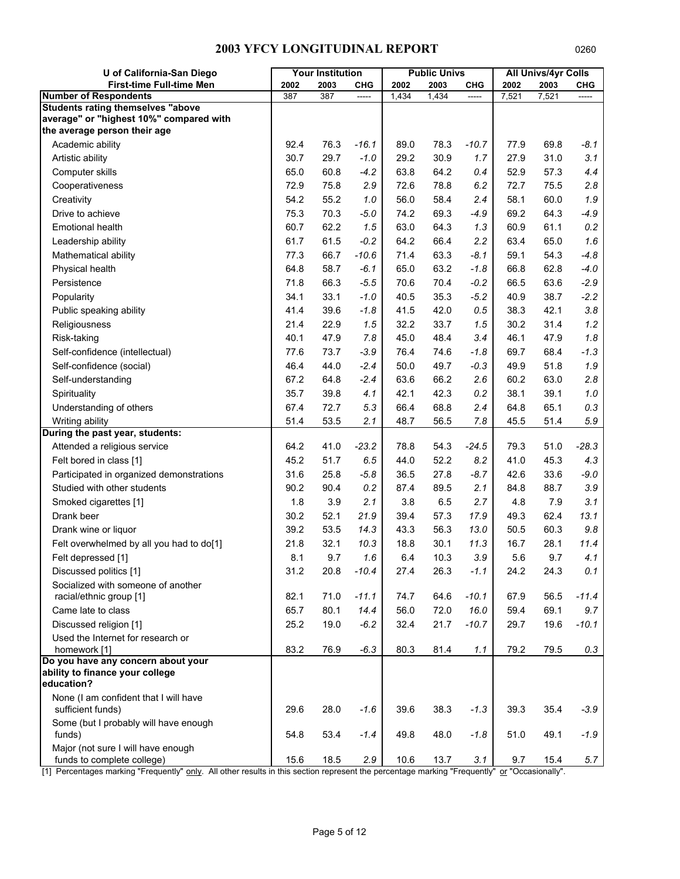| U of California-San Diego                                                           |      | <b>Your Institution</b> |            |       | <b>Public Univs</b> |            |       | <b>All Univs/4yr Colls</b> |            |
|-------------------------------------------------------------------------------------|------|-------------------------|------------|-------|---------------------|------------|-------|----------------------------|------------|
| <b>First-time Full-time Men</b>                                                     | 2002 | 2003                    | <b>CHG</b> | 2002  | 2003                | <b>CHG</b> | 2002  | 2003                       | <b>CHG</b> |
| <b>Number of Respondents</b>                                                        | 387  | 387                     |            | 1,434 | 1,434               |            | 7,521 | 7,521                      |            |
| <b>Students rating themselves "above</b><br>average" or "highest 10%" compared with |      |                         |            |       |                     |            |       |                            |            |
| the average person their age                                                        |      |                         |            |       |                     |            |       |                            |            |
| Academic ability                                                                    | 92.4 | 76.3                    | $-16.1$    | 89.0  | 78.3                | $-10.7$    | 77.9  | 69.8                       | $-8.1$     |
| Artistic ability                                                                    | 30.7 | 29.7                    | $-1.0$     | 29.2  | 30.9                | 1.7        | 27.9  | 31.0                       | 3.1        |
| Computer skills                                                                     | 65.0 | 60.8                    | $-4.2$     | 63.8  | 64.2                | 0.4        | 52.9  | 57.3                       | 4.4        |
| Cooperativeness                                                                     | 72.9 | 75.8                    | 2.9        | 72.6  | 78.8                | 6.2        | 72.7  | 75.5                       | 2.8        |
| Creativity                                                                          | 54.2 | 55.2                    | 1.0        | 56.0  | 58.4                | 2.4        | 58.1  | 60.0                       | 1.9        |
| Drive to achieve                                                                    | 75.3 | 70.3                    | $-5.0$     | 74.2  | 69.3                | $-4.9$     | 69.2  | 64.3                       | $-4.9$     |
| <b>Emotional health</b>                                                             | 60.7 | 62.2                    | 1.5        | 63.0  | 64.3                | 1.3        | 60.9  | 61.1                       | 0.2        |
| Leadership ability                                                                  | 61.7 | 61.5                    | $-0.2$     | 64.2  | 66.4                | 2.2        | 63.4  | 65.0                       | 1.6        |
| Mathematical ability                                                                | 77.3 | 66.7                    | $-10.6$    | 71.4  | 63.3                | $-8.1$     | 59.1  | 54.3                       | $-4.8$     |
| Physical health                                                                     | 64.8 | 58.7                    | $-6.1$     | 65.0  | 63.2                | $-1.8$     | 66.8  | 62.8                       | $-4.0$     |
| Persistence                                                                         | 71.8 | 66.3                    | $-5.5$     | 70.6  | 70.4                | $-0.2$     | 66.5  | 63.6                       | $-2.9$     |
| Popularity                                                                          | 34.1 | 33.1                    | $-1.0$     | 40.5  | 35.3                | $-5.2$     | 40.9  | 38.7                       | $-2.2$     |
| Public speaking ability                                                             | 41.4 | 39.6                    | $-1.8$     | 41.5  | 42.0                | 0.5        | 38.3  | 42.1                       | 3.8        |
| Religiousness                                                                       | 21.4 | 22.9                    | 1.5        | 32.2  | 33.7                | 1.5        | 30.2  | 31.4                       | 1.2        |
| Risk-taking                                                                         | 40.1 | 47.9                    | 7.8        | 45.0  | 48.4                | 3.4        | 46.1  | 47.9                       | 1.8        |
| Self-confidence (intellectual)                                                      | 77.6 | 73.7                    | $-3.9$     | 76.4  | 74.6                | $-1.8$     | 69.7  | 68.4                       | $-1.3$     |
| Self-confidence (social)                                                            | 46.4 | 44.0                    | $-2.4$     | 50.0  | 49.7                | $-0.3$     | 49.9  | 51.8                       | 1.9        |
| Self-understanding                                                                  | 67.2 | 64.8                    | $-2.4$     | 63.6  | 66.2                | 2.6        | 60.2  | 63.0                       | 2.8        |
| Spirituality                                                                        | 35.7 | 39.8                    | 4.1        | 42.1  | 42.3                | 0.2        | 38.1  | 39.1                       | $1.0\,$    |
| Understanding of others                                                             | 67.4 | 72.7                    | 5.3        | 66.4  | 68.8                | 2.4        | 64.8  | 65.1                       | 0.3        |
| Writing ability                                                                     | 51.4 | 53.5                    | 2.1        | 48.7  | 56.5                | 7.8        | 45.5  | 51.4                       | 5.9        |
| During the past year, students:                                                     |      |                         |            |       |                     |            |       |                            |            |
| Attended a religious service                                                        | 64.2 | 41.0                    | $-23.2$    | 78.8  | 54.3                | $-24.5$    | 79.3  | 51.0                       | $-28.3$    |
| Felt bored in class [1]                                                             | 45.2 | 51.7                    | 6.5        | 44.0  | 52.2                | 8.2        | 41.0  | 45.3                       | 4.3        |
| Participated in organized demonstrations                                            | 31.6 | 25.8                    | $-5.8$     | 36.5  | 27.8                | $-8.7$     | 42.6  | 33.6                       | $-9.0$     |
| Studied with other students                                                         | 90.2 | 90.4                    | 0.2        | 87.4  | 89.5                | 2.1        | 84.8  | 88.7                       | 3.9        |
| Smoked cigarettes [1]                                                               | 1.8  | 3.9                     | 2.1        | 3.8   | 6.5                 | 2.7        | 4.8   | 7.9                        | 3.1        |
| Drank beer                                                                          | 30.2 | 52.1                    | 21.9       | 39.4  | 57.3                | 17.9       | 49.3  | 62.4                       | 13.1       |
| Drank wine or liquor                                                                | 39.2 | 53.5                    | 14.3       | 43.3  | 56.3                | 13.0       | 50.5  | 60.3                       | 9.8        |
| Felt overwhelmed by all you had to do[1]                                            | 21.8 | 32.1                    | 10.3       | 18.8  | 30.1                | 11.3       | 16.7  | 28.1                       | 11.4       |
| Felt depressed [1]                                                                  | 8.1  | 9.7                     | 1.6        | 6.4   | 10.3                | 3.9        | 5.6   | 9.7                        | 4.1        |
| Discussed politics [1]                                                              | 31.2 | 20.8                    | $-10.4$    | 27.4  | 26.3                | $-1.1$     | 24.2  | 24.3                       | 0.1        |
| Socialized with someone of another                                                  |      |                         |            |       |                     |            |       |                            |            |
| racial/ethnic group [1]                                                             | 82.1 | 71.0                    | $-11.1$    | 74.7  | 64.6                | $-10.1$    | 67.9  | 56.5                       | $-11.4$    |
| Came late to class                                                                  | 65.7 | 80.1                    | 14.4       | 56.0  | 72.0                | 16.0       | 59.4  | 69.1                       | 9.7        |
| Discussed religion [1]                                                              | 25.2 | 19.0                    | $-6.2$     | 32.4  | 21.7                | $-10.7$    | 29.7  | 19.6                       | $-10.1$    |
| Used the Internet for research or                                                   |      |                         |            |       |                     |            |       |                            |            |
| homework [1]<br>Do you have any concern about your                                  | 83.2 | 76.9                    | $-6.3$     | 80.3  | 81.4                | 1.1        | 79.2  | 79.5                       | 0.3        |
| ability to finance your college                                                     |      |                         |            |       |                     |            |       |                            |            |
| education?                                                                          |      |                         |            |       |                     |            |       |                            |            |
| None (I am confident that I will have                                               |      |                         |            |       |                     |            |       |                            |            |
| sufficient funds)<br>Some (but I probably will have enough                          | 29.6 | 28.0                    | $-1.6$     | 39.6  | 38.3                | $-1.3$     | 39.3  | 35.4                       | $-3.9$     |
| funds)                                                                              | 54.8 | 53.4                    | $-1.4$     | 49.8  | 48.0                | $-1.8$     | 51.0  | 49.1                       | $-1.9$     |
| Major (not sure I will have enough                                                  |      |                         |            |       |                     |            |       |                            |            |
| funds to complete college)                                                          | 15.6 | 18.5                    | 2.9        | 10.6  | 13.7                | 3.1        | 9.7   | 15.4                       | 5.7        |

[1] Percentages marking "Frequently" only. All other results in this section represent the percentage marking "Frequently" or "Occasionally".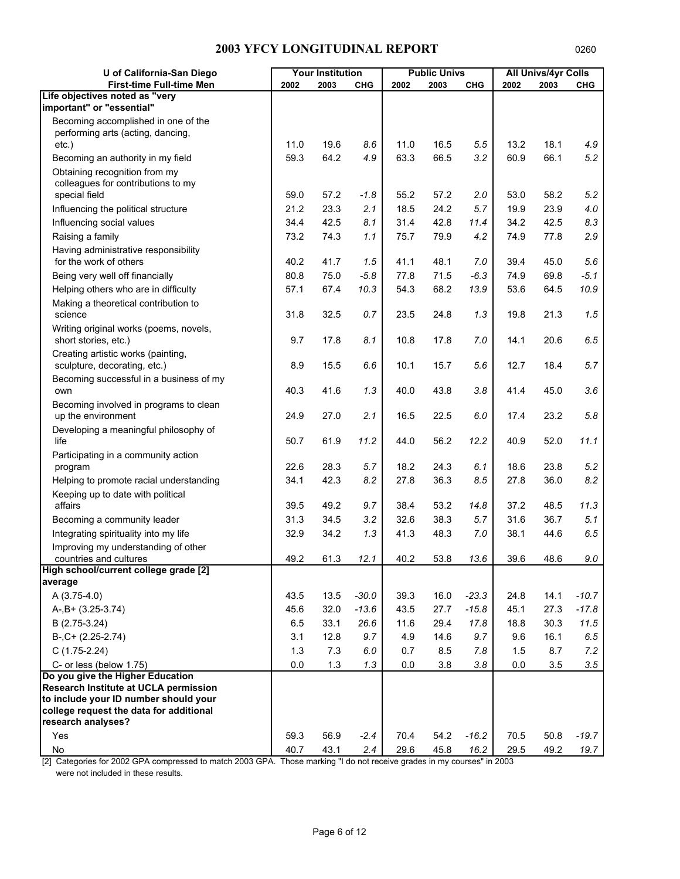| U of California-San Diego                                                      |      | <b>Your Institution</b> |            |      | <b>Public Univs</b> |            |      | <b>All Univs/4yr Colls</b> |            |
|--------------------------------------------------------------------------------|------|-------------------------|------------|------|---------------------|------------|------|----------------------------|------------|
| <b>First-time Full-time Men</b>                                                | 2002 | 2003                    | <b>CHG</b> | 2002 | 2003                | <b>CHG</b> | 2002 | 2003                       | <b>CHG</b> |
| Life objectives noted as "very                                                 |      |                         |            |      |                     |            |      |                            |            |
| important" or "essential"                                                      |      |                         |            |      |                     |            |      |                            |            |
| Becoming accomplished in one of the                                            |      |                         |            |      |                     |            |      |                            |            |
| performing arts (acting, dancing,<br>$etc.$ )                                  | 11.0 | 19.6                    | 8.6        | 11.0 | 16.5                | 5.5        | 13.2 | 18.1                       | 4.9        |
| Becoming an authority in my field                                              | 59.3 | 64.2                    | 4.9        | 63.3 | 66.5                | 3.2        | 60.9 | 66.1                       | 5.2        |
| Obtaining recognition from my                                                  |      |                         |            |      |                     |            |      |                            |            |
| colleagues for contributions to my                                             |      |                         |            |      |                     |            |      |                            |            |
| special field                                                                  | 59.0 | 57.2                    | $-1.8$     | 55.2 | 57.2                | 2.0        | 53.0 | 58.2                       | 5.2        |
| Influencing the political structure                                            | 21.2 | 23.3                    | 2.1        | 18.5 | 24.2                | 5.7        | 19.9 | 23.9                       | 4.0        |
| Influencing social values                                                      | 34.4 | 42.5                    | 8.1        | 31.4 | 42.8                | 11.4       | 34.2 | 42.5                       | 8.3        |
| Raising a family                                                               | 73.2 | 74.3                    | 1.1        | 75.7 | 79.9                | 4.2        | 74.9 | 77.8                       | 2.9        |
| Having administrative responsibility                                           |      |                         |            |      |                     |            |      |                            |            |
| for the work of others                                                         | 40.2 | 41.7                    | 1.5        | 41.1 | 48.1                | 7.0        | 39.4 | 45.0                       | 5.6        |
| Being very well off financially                                                | 80.8 | 75.0                    | $-5.8$     | 77.8 | 71.5                | $-6.3$     | 74.9 | 69.8                       | $-5.1$     |
| Helping others who are in difficulty                                           | 57.1 | 67.4                    | 10.3       | 54.3 | 68.2                | 13.9       | 53.6 | 64.5                       | 10.9       |
| Making a theoretical contribution to                                           |      |                         |            |      |                     |            |      |                            |            |
| science                                                                        | 31.8 | 32.5                    | 0.7        | 23.5 | 24.8                | 1.3        | 19.8 | 21.3                       | 1.5        |
| Writing original works (poems, novels,<br>short stories, etc.)                 | 9.7  | 17.8                    | 8.1        | 10.8 | 17.8                | 7.0        | 14.1 | 20.6                       | 6.5        |
|                                                                                |      |                         |            |      |                     |            |      |                            |            |
| Creating artistic works (painting,<br>sculpture, decorating, etc.)             | 8.9  | 15.5                    | 6.6        | 10.1 | 15.7                | 5.6        | 12.7 | 18.4                       | 5.7        |
| Becoming successful in a business of my                                        |      |                         |            |      |                     |            |      |                            |            |
| own                                                                            | 40.3 | 41.6                    | 1.3        | 40.0 | 43.8                | 3.8        | 41.4 | 45.0                       | 3.6        |
| Becoming involved in programs to clean                                         |      |                         |            |      |                     |            |      |                            |            |
| up the environment                                                             | 24.9 | 27.0                    | 2.1        | 16.5 | 22.5                | 6.0        | 17.4 | 23.2                       | 5.8        |
| Developing a meaningful philosophy of                                          |      |                         |            |      |                     |            |      |                            |            |
| life                                                                           | 50.7 | 61.9                    | 11.2       | 44.0 | 56.2                | 12.2       | 40.9 | 52.0                       | 11.1       |
| Participating in a community action                                            |      |                         |            |      |                     |            |      |                            |            |
| program                                                                        | 22.6 | 28.3                    | 5.7        | 18.2 | 24.3                | 6.1        | 18.6 | 23.8                       | 5.2        |
| Helping to promote racial understanding                                        | 34.1 | 42.3                    | 8.2        | 27.8 | 36.3                | 8.5        | 27.8 | 36.0                       | 8.2        |
| Keeping up to date with political<br>affairs                                   | 39.5 | 49.2                    | 9.7        | 38.4 | 53.2                | 14.8       | 37.2 | 48.5                       | 11.3       |
| Becoming a community leader                                                    | 31.3 | 34.5                    | 3.2        | 32.6 | 38.3                | 5.7        | 31.6 | 36.7                       | 5.1        |
| Integrating spirituality into my life                                          | 32.9 | 34.2                    | 1.3        | 41.3 | 48.3                | 7.0        | 38.1 | 44.6                       | 6.5        |
| Improving my understanding of other                                            |      |                         |            |      |                     |            |      |                            |            |
| countries and cultures                                                         | 49.2 | 61.3                    | 12.1       | 40.2 | 53.8                | 13.6       | 39.6 | 48.6                       | 9.0        |
| High school/current college grade [2]                                          |      |                         |            |      |                     |            |      |                            |            |
| average                                                                        |      |                         |            |      |                     |            |      |                            |            |
| A (3.75-4.0)                                                                   | 43.5 | 13.5                    | $-30.0$    | 39.3 | 16.0                | $-23.3$    | 24.8 | 14.1                       | $-10.7$    |
| $A-, B+ (3.25-3.74)$                                                           | 45.6 | 32.0                    | $-13.6$    | 43.5 | 27.7                | $-15.8$    | 45.1 | 27.3                       | $-17.8$    |
| B (2.75-3.24)                                                                  | 6.5  | 33.1                    | 26.6       | 11.6 | 29.4                | 17.8       | 18.8 | 30.3                       | 11.5       |
| $B-, C+ (2.25-2.74)$                                                           | 3.1  | 12.8                    | 9.7        | 4.9  | 14.6                | 9.7        | 9.6  | 16.1                       | 6.5        |
| $C(1.75-2.24)$                                                                 | 1.3  | 7.3                     | 6.0        | 0.7  | 8.5                 | 7.8        | 1.5  | 8.7                        | 7.2        |
| C- or less (below 1.75)                                                        | 0.0  | 1.3                     | 1.3        | 0.0  | 3.8                 | 3.8        | 0.0  | 3.5                        | 3.5        |
| Do you give the Higher Education                                               |      |                         |            |      |                     |            |      |                            |            |
| Research Institute at UCLA permission<br>to include your ID number should your |      |                         |            |      |                     |            |      |                            |            |
| college request the data for additional                                        |      |                         |            |      |                     |            |      |                            |            |
| research analyses?                                                             |      |                         |            |      |                     |            |      |                            |            |
| Yes                                                                            | 59.3 | 56.9                    | $-2.4$     | 70.4 | 54.2                | $-16.2$    | 70.5 | 50.8                       | $-19.7$    |
| $\mathsf{No}$                                                                  | 40.7 | 43.1                    | 2.4        | 29.6 | 45.8                | 16.2       | 29.5 | 49.2                       | 19.7       |

[2] Categories for 2002 GPA compressed to match 2003 GPA. Those marking "I do not receive grades in my courses" in 2003 were not included in these results.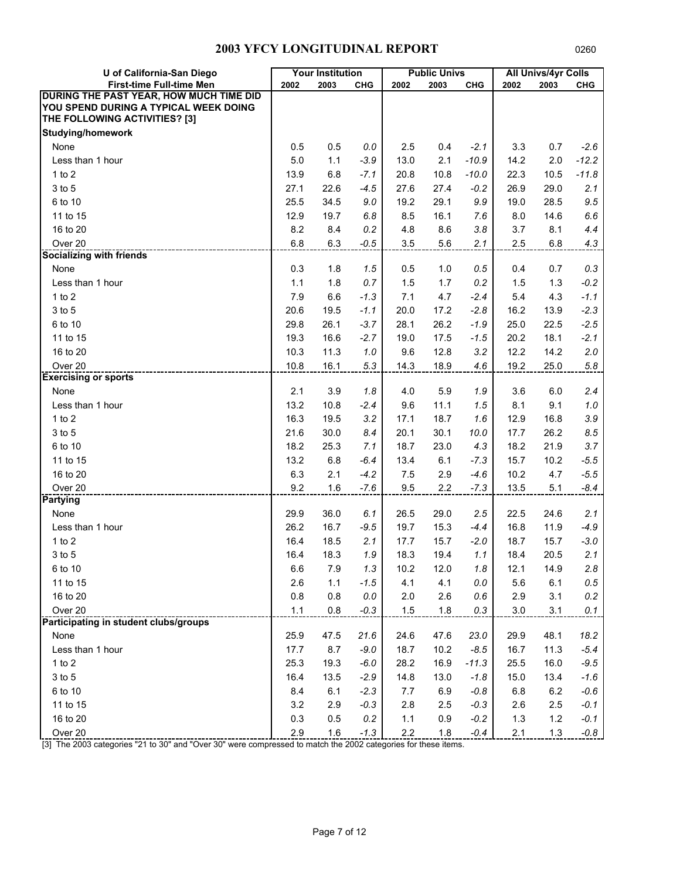| U of California-San Diego               |         | <b>Your Institution</b> |            |         | <b>Public Univs</b> |            |       | <b>All Univs/4yr Colls</b> |            |
|-----------------------------------------|---------|-------------------------|------------|---------|---------------------|------------|-------|----------------------------|------------|
| <b>First-time Full-time Men</b>         | 2002    | 2003                    | <b>CHG</b> | 2002    | 2003                | <b>CHG</b> | 2002  | 2003                       | <b>CHG</b> |
| DURING THE PAST YEAR, HOW MUCH TIME DID |         |                         |            |         |                     |            |       |                            |            |
| YOU SPEND DURING A TYPICAL WEEK DOING   |         |                         |            |         |                     |            |       |                            |            |
| THE FOLLOWING ACTIVITIES? [3]           |         |                         |            |         |                     |            |       |                            |            |
| <b>Studying/homework</b>                |         |                         |            |         |                     |            |       |                            |            |
| None                                    | 0.5     | 0.5                     | 0.0        | 2.5     | 0.4                 | $-2.1$     | 3.3   | 0.7                        | $-2.6$     |
| Less than 1 hour                        | 5.0     | 1.1                     | $-3.9$     | 13.0    | 2.1                 | $-10.9$    | 14.2  | 2.0                        | $-12.2$    |
| $1$ to $2$                              | 13.9    | 6.8                     | $-7.1$     | 20.8    | 10.8                | $-10.0$    | 22.3  | 10.5                       | $-11.8$    |
| 3 to 5                                  | 27.1    | 22.6                    | $-4.5$     | 27.6    | 27.4                | $-0.2$     | 26.9  | 29.0                       | 2.1        |
| 6 to 10                                 | 25.5    | 34.5                    | 9.0        | 19.2    | 29.1                | 9.9        | 19.0  | 28.5                       | 9.5        |
| 11 to 15                                | 12.9    | 19.7                    | 6.8        | 8.5     | 16.1                | 7.6        | 8.0   | 14.6                       | 6.6        |
| 16 to 20                                | 8.2     | 8.4                     | 0.2        | 4.8     | 8.6                 | 3.8        | 3.7   | 8.1                        | 4.4        |
| Over 20                                 | 6.8     | 6.3                     | $-0.5$     | 3.5     | 5.6                 | 2.1        | 2.5   | 6.8                        | 4.3        |
| <b>Socializing with friends</b>         |         |                         |            |         |                     |            |       |                            |            |
| None                                    | 0.3     | 1.8                     | 1.5        | 0.5     | 1.0                 | 0.5        | 0.4   | 0.7                        | 0.3        |
| Less than 1 hour                        | 1.1     | 1.8                     | 0.7        | 1.5     | 1.7                 | 0.2        | 1.5   | 1.3                        | $-0.2$     |
| $1$ to $2$                              | 7.9     | 6.6                     | $-1.3$     | 7.1     | 4.7                 | $-2.4$     | 5.4   | 4.3                        | $-1.1$     |
| 3 to 5                                  | 20.6    | 19.5                    | $-1.1$     | 20.0    | 17.2                | $-2.8$     | 16.2  | 13.9                       | $-2.3$     |
| 6 to 10                                 | 29.8    | 26.1                    | $-3.7$     | 28.1    | 26.2                | $-1.9$     | 25.0  | 22.5                       | $-2.5$     |
| 11 to 15                                | 19.3    | 16.6                    | $-2.7$     | 19.0    | 17.5                | $-1.5$     | 20.2  | 18.1                       | $-2.1$     |
| 16 to 20                                | 10.3    | 11.3                    | 1.0        | 9.6     | 12.8                | 3.2        | 12.2  | 14.2                       | 2.0        |
| Over <sub>20</sub>                      | 10.8    | 16.1                    | 5.3        | 14.3    | 18.9                | 4.6        | 19.2  | 25.0                       | 5.8        |
| <b>Exercising or sports</b>             |         |                         |            |         |                     |            |       |                            |            |
| None                                    | 2.1     | 3.9                     | 1.8        | 4.0     | 5.9                 | 1.9        | 3.6   | 6.0                        | 2.4        |
| Less than 1 hour                        | 13.2    | 10.8                    | $-2.4$     | 9.6     | 11.1                | 1.5        | 8.1   | 9.1                        | $1.0\,$    |
| $1$ to $2$                              | 16.3    | 19.5                    | 3.2        | 17.1    | 18.7                | 1.6        | 12.9  | 16.8                       | 3.9        |
| 3 to 5                                  | 21.6    | 30.0                    | 8.4        | 20.1    | 30.1                | 10.0       | 17.7  | 26.2                       | 8.5        |
| 6 to 10                                 | 18.2    | 25.3                    | 7.1        | 18.7    | 23.0                | 4.3        | 18.2  | 21.9                       | 3.7        |
| 11 to 15                                | 13.2    | 6.8                     | $-6.4$     | 13.4    | 6.1                 | $-7.3$     | 15.7  | 10.2                       | $-5.5$     |
| 16 to 20                                | 6.3     | 2.1                     | $-4.2$     | 7.5     | 2.9                 | $-4.6$     | 10.2  | 4.7                        | $-5.5$     |
| Over 20                                 | 9.2     | 1.6                     | $-7.6$     | 9.5     | 2.2                 | $-7.3$     | 13.5  | 5.1                        | $-8.4$     |
| <b>Partying</b>                         |         |                         |            |         |                     |            |       |                            |            |
| None                                    | 29.9    | 36.0                    | 6.1        | 26.5    | 29.0                | 2.5        | 22.5  | 24.6                       | 2.1        |
| Less than 1 hour                        | 26.2    | 16.7                    | $-9.5$     | 19.7    | 15.3                | $-4.4$     | 16.8  | 11.9                       | $-4.9$     |
| $1$ to $2$                              | 16.4    | 18.5                    | 2.1        | 17.7    | 15.7                | $-2.0$     | 18.7  | 15.7                       | $-3.0$     |
| 3 to 5                                  | 16.4    | 18.3                    | 1.9        | 18.3    | 19.4                | 1.1        | 18.4  | 20.5                       | 2.1        |
| 6 to 10                                 | 6.6     | 7.9                     | 1.3        | 10.2    | 12.0                | 1.8        | 12.1  | 14.9                       | 2.8        |
| 11 to 15                                | 2.6     | 1.1                     | $-1.5$     | 4.1     | 4.1                 | $0.0\,$    | 5.6   | 6.1                        | $0.5\,$    |
| 16 to 20                                | $0.8\,$ | 0.8                     | $0.0\,$    | $2.0\,$ | 2.6                 | 0.6        | 2.9   | 3.1                        | 0.2        |
| Over 20                                 | $1.1$   | $0.8\,$                 | $-0.3$     | 1.5     | 1.8                 | 0.3        | 3.0   | 3.1                        | 0.1        |
| Participating in student clubs/groups   |         |                         |            |         |                     |            |       |                            |            |
| None                                    | 25.9    | 47.5                    | 21.6       | 24.6    | 47.6                | 23.0       | 29.9  | 48.1                       | 18.2       |
| Less than 1 hour                        | 17.7    | 8.7                     | $-9.0$     | 18.7    | 10.2                | $-8.5$     | 16.7  | 11.3                       | $-5.4$     |
| 1 to 2                                  | 25.3    | 19.3                    | $-6.0$     | 28.2    | 16.9                | $-11.3$    | 25.5  | 16.0                       | $-9.5$     |
| 3 to 5                                  | 16.4    | 13.5                    | $-2.9$     | 14.8    | 13.0                | $-1.8$     | 15.0  | 13.4                       | $-1.6$     |
| 6 to 10                                 | 8.4     | 6.1                     | $-2.3$     | 7.7     | 6.9                 | $-0.8$     | 6.8   | $6.2\,$                    | $-0.6$     |
| 11 to 15                                | 3.2     | 2.9                     | $-0.3$     | 2.8     | 2.5                 | $-0.3$     | 2.6   | 2.5                        | $-0.1$     |
| 16 to 20                                | 0.3     | 0.5                     | 0.2        | 1.1     | 0.9                 | $-0.2$     | $1.3$ | $1.2$                      | $-0.1$     |
| Over 20                                 | 2.9     | 1.6                     | $-1.3$     | $2.2\,$ | 1.8                 | $-0.4$     | 2.1   | 1.3                        | $-0.8$     |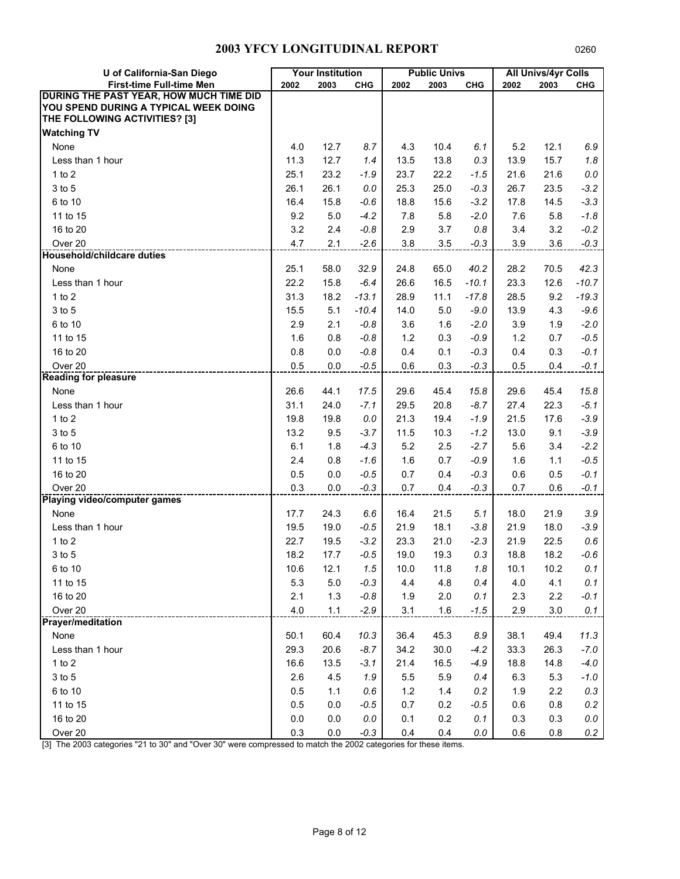| U of California-San Diego                                                                                         |      | <b>Your Institution</b> |            |       | <b>Public Univs</b> |            |      | <b>All Univs/4yr Colls</b> |            |
|-------------------------------------------------------------------------------------------------------------------|------|-------------------------|------------|-------|---------------------|------------|------|----------------------------|------------|
| <b>First-time Full-time Men</b>                                                                                   | 2002 | 2003                    | <b>CHG</b> | 2002  | 2003                | <b>CHG</b> | 2002 | 2003                       | <b>CHG</b> |
| DURING THE PAST YEAR, HOW MUCH TIME DID<br>YOU SPEND DURING A TYPICAL WEEK DOING<br>THE FOLLOWING ACTIVITIES? [3] |      |                         |            |       |                     |            |      |                            |            |
| <b>Watching TV</b>                                                                                                |      |                         |            |       |                     |            |      |                            |            |
| None                                                                                                              | 4.0  | 12.7                    | 8.7        | 4.3   | 10.4                | 6.1        | 5.2  | 12.1                       | 6.9        |
| Less than 1 hour                                                                                                  | 11.3 | 12.7                    | 1.4        | 13.5  | 13.8                | 0.3        | 13.9 | 15.7                       | 1.8        |
| 1 to $2$                                                                                                          | 25.1 | 23.2                    | $-1.9$     | 23.7  | 22.2                | $-1.5$     | 21.6 | 21.6                       | $0.0\,$    |
| 3 to 5                                                                                                            | 26.1 | 26.1                    | 0.0        | 25.3  | 25.0                | $-0.3$     | 26.7 | 23.5                       | $-3.2$     |
| 6 to 10                                                                                                           | 16.4 | 15.8                    | $-0.6$     | 18.8  | 15.6                | $-3.2$     | 17.8 | 14.5                       | $-3.3$     |
| 11 to 15                                                                                                          | 9.2  | 5.0                     | $-4.2$     | 7.8   | 5.8                 | $-2.0$     | 7.6  | 5.8                        | $-1.8$     |
| 16 to 20                                                                                                          | 3.2  | 2.4                     | $-0.8$     | 2.9   | 3.7                 | 0.8        | 3.4  | 3.2                        | $-0.2$     |
| Over <sub>20</sub>                                                                                                | 4.7  | 2.1                     | $-2.6$     | 3.8   | 3.5                 | $-0.3$     | 3.9  | 3.6                        | $-0.3$     |
| <b>Household/childcare duties</b>                                                                                 |      |                         |            |       |                     |            |      |                            |            |
| None                                                                                                              | 25.1 | 58.0                    | 32.9       | 24.8  | 65.0                | 40.2       | 28.2 | 70.5                       | 42.3       |
| Less than 1 hour                                                                                                  | 22.2 | 15.8                    | $-6.4$     | 26.6  | 16.5                | $-10.1$    | 23.3 | 12.6                       | $-10.7$    |
| $1$ to $2$                                                                                                        | 31.3 | 18.2                    | $-13.1$    | 28.9  | 11.1                | $-17.8$    | 28.5 | 9.2                        | $-19.3$    |
| 3 to 5                                                                                                            | 15.5 | 5.1                     | $-10.4$    | 14.0  | 5.0                 | $-9.0$     | 13.9 | 4.3                        | $-9.6$     |
| 6 to 10                                                                                                           | 2.9  | 2.1                     | $-0.8$     | 3.6   | 1.6                 | $-2.0$     | 3.9  | 1.9                        | $-2.0$     |
| 11 to 15                                                                                                          | 1.6  | 0.8                     | $-0.8$     | $1.2$ | 0.3                 | $-0.9$     | 1.2  | 0.7                        | $-0.5$     |
| 16 to 20                                                                                                          | 0.8  | 0.0                     | $-0.8$     | 0.4   | 0.1                 | $-0.3$     | 0.4  | 0.3                        | $-0.1$     |
| Over <sub>20</sub>                                                                                                | 0.5  | 0.0                     | $-0.5$     | 0.6   | 0.3                 | $-0.3$     | 0.5  | 0.4                        | $-0.1$     |
| <b>Reading for pleasure</b>                                                                                       |      |                         |            |       |                     |            |      |                            |            |
| None                                                                                                              | 26.6 | 44.1                    | 17.5       | 29.6  | 45.4                | 15.8       | 29.6 | 45.4                       | 15.8       |
| Less than 1 hour                                                                                                  | 31.1 | 24.0                    | $-7.1$     | 29.5  | 20.8                | $-8.7$     | 27.4 | 22.3                       | $-5.1$     |
| $1$ to $2$                                                                                                        | 19.8 | 19.8                    | 0.0        | 21.3  | 19.4                | $-1.9$     | 21.5 | 17.6                       | $-3.9$     |
| 3 to 5                                                                                                            | 13.2 | 9.5                     | $-3.7$     | 11.5  | 10.3                | $-1.2$     | 13.0 | 9.1                        | $-3.9$     |
| 6 to 10                                                                                                           | 6.1  | 1.8                     | $-4.3$     | 5.2   | 2.5                 | $-2.7$     | 5.6  | 3.4                        | $-2.2$     |
| 11 to 15                                                                                                          | 2.4  | 0.8                     | $-1.6$     | 1.6   | 0.7                 | $-0.9$     | 1.6  | 1.1                        | $-0.5$     |
| 16 to 20                                                                                                          | 0.5  | 0.0                     | $-0.5$     | 0.7   | 0.4                 | $-0.3$     | 0.6  | 0.5                        | $-0.1$     |
| Over 20                                                                                                           | 0.3  | 0.0                     | $-0.3$     | 0.7   | 0.4                 | $-0.3$     | 0.7  | 0.6                        | $-0.1$     |
| Playing video/computer games                                                                                      |      |                         |            |       |                     |            |      |                            |            |
| None                                                                                                              | 17.7 | 24.3                    | 6.6        | 16.4  | 21.5                | 5.1        | 18.0 | 21.9                       | 3.9        |
| Less than 1 hour                                                                                                  | 19.5 | 19.0                    | $-0.5$     | 21.9  | 18.1                | $-3.8$     | 21.9 | 18.0                       | $-3.9$     |
| 1 to $2$                                                                                                          | 22.7 | 19.5                    | $-3.2$     | 23.3  | 21.0                | $-2.3$     | 21.9 | 22.5                       | 0.6        |
| 3 to 5                                                                                                            | 18.2 | 17.7                    | $-0.5$     | 19.0  | 19.3                | 0.3        | 18.8 | 18.2                       | $-0.6$     |
| 6 to 10                                                                                                           | 10.6 | 12.1                    | 1.5        | 10.0  | 11.8                | 1.8        | 10.1 | 10.2                       | 0.1        |
| 11 to 15                                                                                                          | 5.3  | 5.0                     | $-0.3$     | 4.4   | 4.8                 | 0.4        | 4.0  | 4.1                        | 0.1        |
| 16 to 20                                                                                                          | 2.1  | 1.3                     | $-0.8$     | 1.9   | 2.0                 | 0.1        | 2.3  | 2.2                        | $-0.1$     |
| Over 20                                                                                                           | 4.0  | 1.1                     | $-2.9$     | 3.1   | 1.6                 | $-1.5$     | 2.9  | $3.0\,$                    | 0.1        |
| <b>Prayer/meditation</b>                                                                                          |      |                         |            |       |                     |            |      |                            |            |
| None                                                                                                              | 50.1 | 60.4                    | 10.3       | 36.4  | 45.3                | 8.9        | 38.1 | 49.4                       | 11.3       |
| Less than 1 hour                                                                                                  | 29.3 | 20.6                    | $-8.7$     | 34.2  | 30.0                | $-4.2$     | 33.3 | 26.3                       | $-7.0$     |
| 1 to 2                                                                                                            | 16.6 | 13.5                    | $-3.1$     | 21.4  | 16.5                | $-4.9$     | 18.8 | 14.8                       | $-4.0$     |
| 3 to 5                                                                                                            | 2.6  | 4.5                     | 1.9        | 5.5   | 5.9                 | 0.4        | 6.3  | 5.3                        | $-1.0$     |
| 6 to 10                                                                                                           | 0.5  | 1.1                     | 0.6        | $1.2$ | 1.4                 | 0.2        | 1.9  | $2.2\,$                    | 0.3        |
| 11 to 15                                                                                                          | 0.5  | 0.0                     | $-0.5$     | 0.7   | 0.2                 | $-0.5$     | 0.6  | 0.8                        | 0.2        |
| 16 to 20                                                                                                          | 0.0  | 0.0                     | 0.0        | 0.1   | 0.2                 | 0.1        | 0.3  | 0.3                        | 0.0        |
| Over 20                                                                                                           | 0.3  | $0.0\,$                 | $-0.3$     | 0.4   | 0.4                 | $0.0\,$    | 0.6  | 0.8                        | 0.2        |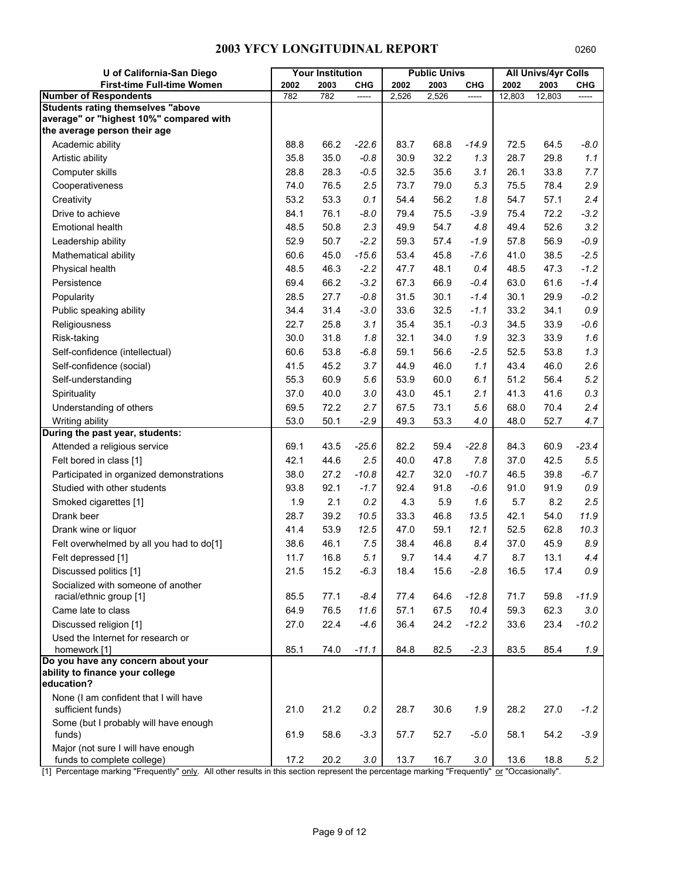| U of California-San Diego                                                           |      | <b>Your Institution</b> |         |       | <b>Public Univs</b> |            |        | <b>All Univs/4yr Colls</b> |            |
|-------------------------------------------------------------------------------------|------|-------------------------|---------|-------|---------------------|------------|--------|----------------------------|------------|
| First-time Full-time Women                                                          | 2002 | 2003                    | CHG     | 2002  | 2003                | <b>CHG</b> | 2002   | 2003                       | <b>CHG</b> |
| <b>Number of Respondents</b>                                                        | 782  | 782                     |         | 2,526 | 2,526               |            | 12,803 | 12,803                     |            |
| <b>Students rating themselves "above</b><br>average" or "highest 10%" compared with |      |                         |         |       |                     |            |        |                            |            |
| the average person their age                                                        |      |                         |         |       |                     |            |        |                            |            |
| Academic ability                                                                    | 88.8 | 66.2                    | $-22.6$ | 83.7  | 68.8                | $-14.9$    | 72.5   | 64.5                       | $-8.0$     |
| Artistic ability                                                                    | 35.8 | 35.0                    | $-0.8$  | 30.9  | 32.2                | 1.3        | 28.7   | 29.8                       | 1.1        |
| Computer skills                                                                     | 28.8 | 28.3                    | $-0.5$  | 32.5  | 35.6                | 3.1        | 26.1   | 33.8                       | 7.7        |
| Cooperativeness                                                                     | 74.0 | 76.5                    | 2.5     | 73.7  | 79.0                | 5.3        | 75.5   | 78.4                       | 2.9        |
| Creativity                                                                          | 53.2 | 53.3                    | 0.1     | 54.4  | 56.2                | 1.8        | 54.7   | 57.1                       | 2.4        |
| Drive to achieve                                                                    | 84.1 | 76.1                    | $-8.0$  | 79.4  | 75.5                | $-3.9$     | 75.4   | 72.2                       | $-3.2$     |
| <b>Emotional health</b>                                                             | 48.5 | 50.8                    | 2.3     | 49.9  | 54.7                | 4.8        | 49.4   | 52.6                       | 3.2        |
| Leadership ability                                                                  | 52.9 | 50.7                    | $-2.2$  | 59.3  | 57.4                | $-1.9$     | 57.8   | 56.9                       | $-0.9$     |
| Mathematical ability                                                                | 60.6 | 45.0                    | $-15.6$ | 53.4  | 45.8                | $-7.6$     | 41.0   | 38.5                       | $-2.5$     |
| Physical health                                                                     | 48.5 | 46.3                    | $-2.2$  | 47.7  | 48.1                | 0.4        | 48.5   | 47.3                       | $-1.2$     |
| Persistence                                                                         | 69.4 | 66.2                    | $-3.2$  | 67.3  | 66.9                | $-0.4$     | 63.0   | 61.6                       | $-1.4$     |
| Popularity                                                                          | 28.5 | 27.7                    | $-0.8$  | 31.5  | 30.1                | $-1.4$     | 30.1   | 29.9                       | $-0.2$     |
| Public speaking ability                                                             | 34.4 | 31.4                    | $-3.0$  | 33.6  | 32.5                | $-1.1$     | 33.2   | 34.1                       | $0.9\,$    |
| Religiousness                                                                       | 22.7 | 25.8                    | 3.1     | 35.4  | 35.1                | $-0.3$     | 34.5   | 33.9                       | $-0.6$     |
| Risk-taking                                                                         | 30.0 | 31.8                    | 1.8     | 32.1  | 34.0                | 1.9        | 32.3   | 33.9                       | 1.6        |
| Self-confidence (intellectual)                                                      | 60.6 | 53.8                    | $-6.8$  | 59.1  | 56.6                | $-2.5$     | 52.5   | 53.8                       | 1.3        |
| Self-confidence (social)                                                            | 41.5 | 45.2                    | 3.7     | 44.9  | 46.0                | 1.1        | 43.4   | 46.0                       | 2.6        |
| Self-understanding                                                                  | 55.3 | 60.9                    | 5.6     | 53.9  | 60.0                | 6.1        | 51.2   | 56.4                       | 5.2        |
| Spirituality                                                                        | 37.0 | 40.0                    | 3.0     | 43.0  | 45.1                | 2.1        | 41.3   | 41.6                       | $0.3\,$    |
| Understanding of others                                                             | 69.5 | 72.2                    | 2.7     | 67.5  | 73.1                | 5.6        | 68.0   | 70.4                       | 2.4        |
| Writing ability                                                                     | 53.0 | 50.1                    | $-2.9$  | 49.3  | 53.3                | 4.0        | 48.0   | 52.7                       | 4.7        |
| During the past year, students:                                                     |      |                         |         |       |                     |            |        |                            |            |
| Attended a religious service                                                        | 69.1 | 43.5                    | $-25.6$ | 82.2  | 59.4                | $-22.8$    | 84.3   | 60.9                       | $-23.4$    |
| Felt bored in class [1]                                                             | 42.1 | 44.6                    | 2.5     | 40.0  | 47.8                | 7.8        | 37.0   | 42.5                       | 5.5        |
| Participated in organized demonstrations                                            | 38.0 | 27.2                    | $-10.8$ | 42.7  | 32.0                | $-10.7$    | 46.5   | 39.8                       | $-6.7$     |
| Studied with other students                                                         | 93.8 | 92.1                    | $-1.7$  | 92.4  | 91.8                | $-0.6$     | 91.0   | 91.9                       | $0.9\,$    |
| Smoked cigarettes [1]                                                               | 1.9  | 2.1                     | 0.2     | 4.3   | 5.9                 | 1.6        | 5.7    | 8.2                        | 2.5        |
| Drank beer                                                                          | 28.7 | 39.2                    | 10.5    | 33.3  | 46.8                | 13.5       | 42.1   | 54.0                       | 11.9       |
| Drank wine or liquor                                                                | 41.4 | 53.9                    | 12.5    | 47.0  | 59.1                | 12.1       | 52.5   | 62.8                       | 10.3       |
| Felt overwhelmed by all you had to do[1]                                            | 38.6 | 46.1                    | 7.5     | 38.4  | 46.8                | 8.4        | 37.0   | 45.9                       | 8.9        |
| Felt depressed [1]                                                                  | 11.7 | 16.8                    | 5.1     | 9.7   | 14.4                | 4.7        | 8.7    | 13.1                       | 4.4        |
| Discussed politics [1]                                                              | 21.5 | 15.2                    | $-6.3$  | 18.4  | 15.6                | $-2.8$     | 16.5   | 17.4                       | 0.9        |
| Socialized with someone of another                                                  |      |                         |         |       |                     |            |        |                            |            |
| racial/ethnic group [1]                                                             | 85.5 | 77.1                    | $-8.4$  | 77.4  | 64.6                | $-12.8$    | 71.7   | 59.8                       | $-11.9$    |
| Came late to class                                                                  | 64.9 | 76.5                    | 11.6    | 57.1  | 67.5                | 10.4       | 59.3   | 62.3                       | 3.0        |
| Discussed religion [1]                                                              | 27.0 | 22.4                    | $-4.6$  | 36.4  | 24.2                | $-12.2$    | 33.6   | 23.4                       | $-10.2$    |
| Used the Internet for research or                                                   |      |                         |         |       |                     |            |        |                            |            |
| homework [1]                                                                        | 85.1 | 74.0                    | $-11.1$ | 84.8  | 82.5                | $-2.3$     | 83.5   | 85.4                       | 1.9        |
| Do you have any concern about your<br>ability to finance your college               |      |                         |         |       |                     |            |        |                            |            |
| education?                                                                          |      |                         |         |       |                     |            |        |                            |            |
| None (I am confident that I will have                                               |      |                         |         |       |                     |            |        |                            |            |
| sufficient funds)                                                                   | 21.0 | 21.2                    | $0.2\,$ | 28.7  | 30.6                | 1.9        | 28.2   | 27.0                       | $-1.2$     |
| Some (but I probably will have enough                                               |      |                         |         |       |                     |            |        |                            |            |
| funds)                                                                              | 61.9 | 58.6                    | $-3.3$  | 57.7  | 52.7                | $-5.0$     | 58.1   | 54.2                       | $-3.9$     |
| Major (not sure I will have enough                                                  |      |                         |         |       |                     |            |        |                            |            |
| funds to complete college)                                                          | 17.2 | 20.2                    | $3.0\,$ | 13.7  | 16.7                | $3.0\,$    | 13.6   | 18.8                       | 5.2        |

[1] Percentage marking "Frequently" only. All other results in this section represent the percentage marking "Frequently" or "Occasionally".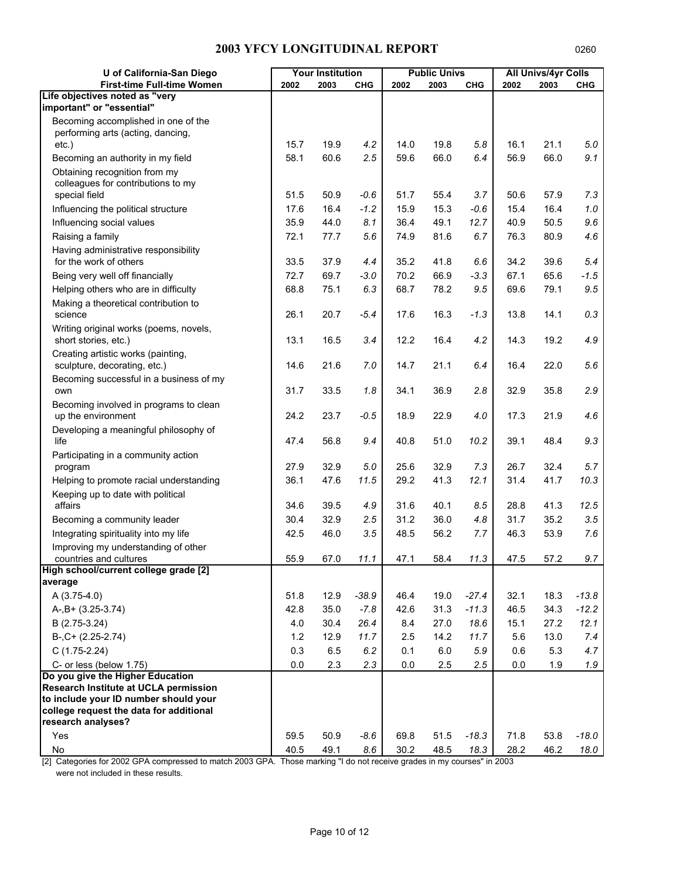| U of California-San Diego                                       |       | <b>Your Institution</b> |            |         | <b>Public Univs</b> |            |      | <b>All Univs/4yr Colls</b> |            |
|-----------------------------------------------------------------|-------|-------------------------|------------|---------|---------------------|------------|------|----------------------------|------------|
| First-time Full-time Women                                      | 2002  | 2003                    | <b>CHG</b> | 2002    | 2003                | <b>CHG</b> | 2002 | 2003                       | <b>CHG</b> |
| Life objectives noted as "very                                  |       |                         |            |         |                     |            |      |                            |            |
| important" or "essential"                                       |       |                         |            |         |                     |            |      |                            |            |
| Becoming accomplished in one of the                             |       |                         |            |         |                     |            |      |                            |            |
| performing arts (acting, dancing,<br>$etc.$ )                   | 15.7  | 19.9                    | 4.2        | 14.0    | 19.8                | 5.8        | 16.1 | 21.1                       | 5.0        |
| Becoming an authority in my field                               | 58.1  | 60.6                    | 2.5        | 59.6    | 66.0                | 6.4        | 56.9 | 66.0                       | 9.1        |
| Obtaining recognition from my                                   |       |                         |            |         |                     |            |      |                            |            |
| colleagues for contributions to my                              |       |                         |            |         |                     |            |      |                            |            |
| special field                                                   | 51.5  | 50.9                    | $-0.6$     | 51.7    | 55.4                | 3.7        | 50.6 | 57.9                       | 7.3        |
| Influencing the political structure                             | 17.6  | 16.4                    | $-1.2$     | 15.9    | 15.3                | $-0.6$     | 15.4 | 16.4                       | $1.0$      |
| Influencing social values                                       | 35.9  | 44.0                    | 8.1        | 36.4    | 49.1                | 12.7       | 40.9 | 50.5                       | 9.6        |
| Raising a family                                                | 72.1  | 77.7                    | 5.6        | 74.9    | 81.6                | 6.7        | 76.3 | 80.9                       | 4.6        |
| Having administrative responsibility                            |       |                         |            |         |                     |            |      |                            |            |
| for the work of others                                          | 33.5  | 37.9                    | 4.4        | 35.2    | 41.8                | 6.6        | 34.2 | 39.6                       | 5.4        |
| Being very well off financially                                 | 72.7  | 69.7                    | $-3.0$     | 70.2    | 66.9                | $-3.3$     | 67.1 | 65.6                       | $-1.5$     |
| Helping others who are in difficulty                            | 68.8  | 75.1                    | 6.3        | 68.7    | 78.2                | 9.5        | 69.6 | 79.1                       | 9.5        |
| Making a theoretical contribution to                            |       |                         |            |         |                     |            |      |                            |            |
| science                                                         | 26.1  | 20.7                    | $-5.4$     | 17.6    | 16.3                | $-1.3$     | 13.8 | 14.1                       | 0.3        |
| Writing original works (poems, novels,                          |       |                         |            |         |                     |            |      |                            |            |
| short stories, etc.)                                            | 13.1  | 16.5                    | 3.4        | 12.2    | 16.4                | 4.2        | 14.3 | 19.2                       | 4.9        |
| Creating artistic works (painting,                              |       |                         |            |         |                     |            |      |                            |            |
| sculpture, decorating, etc.)                                    | 14.6  | 21.6                    | 7.0        | 14.7    | 21.1                | 6.4        | 16.4 | 22.0                       | 5.6        |
| Becoming successful in a business of my<br>own                  | 31.7  | 33.5                    | 1.8        | 34.1    | 36.9                | 2.8        | 32.9 | 35.8                       | 2.9        |
| Becoming involved in programs to clean                          |       |                         |            |         |                     |            |      |                            |            |
| up the environment                                              | 24.2  | 23.7                    | $-0.5$     | 18.9    | 22.9                | 4.0        | 17.3 | 21.9                       | 4.6        |
| Developing a meaningful philosophy of                           |       |                         |            |         |                     |            |      |                            |            |
| life                                                            | 47.4  | 56.8                    | 9.4        | 40.8    | 51.0                | 10.2       | 39.1 | 48.4                       | 9.3        |
| Participating in a community action                             |       |                         |            |         |                     |            |      |                            |            |
| program                                                         | 27.9  | 32.9                    | 5.0        | 25.6    | 32.9                | 7.3        | 26.7 | 32.4                       | 5.7        |
| Helping to promote racial understanding                         | 36.1  | 47.6                    | 11.5       | 29.2    | 41.3                | 12.1       | 31.4 | 41.7                       | 10.3       |
| Keeping up to date with political                               |       |                         |            |         |                     |            |      |                            |            |
| affairs                                                         | 34.6  | 39.5                    | 4.9        | 31.6    | 40.1                | 8.5        | 28.8 | 41.3                       | 12.5       |
| Becoming a community leader                                     | 30.4  | 32.9                    | 2.5        | 31.2    | 36.0                | 4.8        | 31.7 | 35.2                       | 3.5        |
| Integrating spirituality into my life                           | 42.5  | 46.0                    | 3.5        | 48.5    | 56.2                | 7.7        | 46.3 | 53.9                       | 7.6        |
| Improving my understanding of other                             |       |                         |            |         |                     |            |      |                            |            |
| countries and cultures<br>High school/current college grade [2] | 55.9  | 67.0                    | 11.1       | 47.1    | 58.4                | 11.3       | 47.5 | 57.2                       | 9.7        |
| average                                                         |       |                         |            |         |                     |            |      |                            |            |
| A (3.75-4.0)                                                    | 51.8  | 12.9                    | $-38.9$    | 46.4    | 19.0                | $-27.4$    | 32.1 | 18.3                       | $-13.8$    |
| $A-, B+ (3.25-3.74)$                                            | 42.8  | 35.0                    | $-7.8$     | 42.6    | 31.3                | $-11.3$    | 46.5 | 34.3                       | $-12.2$    |
| B (2.75-3.24)                                                   | 4.0   | 30.4                    | 26.4       | 8.4     | 27.0                | 18.6       | 15.1 | 27.2                       | 12.1       |
| $B-, C+ (2.25-2.74)$                                            | $1.2$ | 12.9                    | 11.7       | 2.5     | 14.2                | 11.7       | 5.6  | 13.0                       | 7.4        |
| $C(1.75-2.24)$                                                  | 0.3   | 6.5                     | 6.2        | 0.1     | 6.0                 | 5.9        | 0.6  | 5.3                        | 4.7        |
| C- or less (below 1.75)                                         | 0.0   | 2.3                     | 2.3        | $0.0\,$ | 2.5                 | 2.5        | 0.0  | 1.9                        | 1.9        |
| Do you give the Higher Education                                |       |                         |            |         |                     |            |      |                            |            |
| Research Institute at UCLA permission                           |       |                         |            |         |                     |            |      |                            |            |
| to include your ID number should your                           |       |                         |            |         |                     |            |      |                            |            |
| college request the data for additional<br>research analyses?   |       |                         |            |         |                     |            |      |                            |            |
| Yes                                                             | 59.5  | 50.9                    | $-8.6$     | 69.8    | 51.5                | $-18.3$    | 71.8 | 53.8                       | $-18.0$    |
| No                                                              | 40.5  | 49.1                    | 8.6        | 30.2    | 48.5                | 18.3       | 28.2 | 46.2                       | 18.0       |
|                                                                 |       |                         |            |         |                     |            |      |                            |            |

[2] Categories for 2002 GPA compressed to match 2003 GPA. Those marking "I do not receive grades in my courses" in 2003 were not included in these results.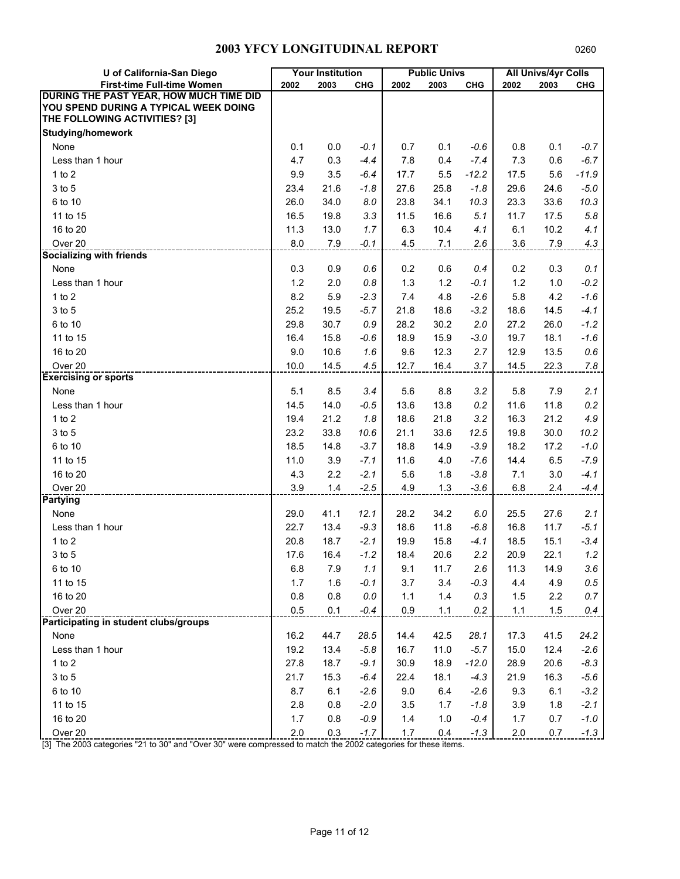| U of California-San Diego               |       | <b>Your Institution</b> |            |      | <b>Public Univs</b> |            |         | <b>All Univs/4yr Colls</b> |            |
|-----------------------------------------|-------|-------------------------|------------|------|---------------------|------------|---------|----------------------------|------------|
| First-time Full-time Women              | 2002  | 2003                    | <b>CHG</b> | 2002 | 2003                | <b>CHG</b> | 2002    | 2003                       | <b>CHG</b> |
| DURING THE PAST YEAR, HOW MUCH TIME DID |       |                         |            |      |                     |            |         |                            |            |
| YOU SPEND DURING A TYPICAL WEEK DOING   |       |                         |            |      |                     |            |         |                            |            |
| THE FOLLOWING ACTIVITIES? [3]           |       |                         |            |      |                     |            |         |                            |            |
| <b>Studying/homework</b>                |       |                         |            |      |                     |            |         |                            |            |
| None                                    | 0.1   | 0.0                     | $-0.1$     | 0.7  | 0.1                 | $-0.6$     | 0.8     | 0.1                        | $-0.7$     |
| Less than 1 hour                        | 4.7   | 0.3                     | $-4.4$     | 7.8  | 0.4                 | $-7.4$     | 7.3     | 0.6                        | $-6.7$     |
| $1$ to $2$                              | 9.9   | 3.5                     | $-6.4$     | 17.7 | 5.5                 | $-12.2$    | 17.5    | 5.6                        | $-11.9$    |
| 3 to 5                                  | 23.4  | 21.6                    | $-1.8$     | 27.6 | 25.8                | $-1.8$     | 29.6    | 24.6                       | $-5.0$     |
| 6 to 10                                 | 26.0  | 34.0                    | 8.0        | 23.8 | 34.1                | 10.3       | 23.3    | 33.6                       | 10.3       |
| 11 to 15                                | 16.5  | 19.8                    | 3.3        | 11.5 | 16.6                | 5.1        | 11.7    | 17.5                       | 5.8        |
| 16 to 20                                | 11.3  | 13.0                    | 1.7        | 6.3  | 10.4                | 4.1        | 6.1     | 10.2                       | 4.1        |
| Over 20                                 | 8.0   | 7.9                     | $-0.1$     | 4.5  | 7.1                 | 2.6        | 3.6     | 7.9                        | 4.3        |
| Socializing with friends                |       |                         |            |      |                     |            |         |                            |            |
| None                                    | 0.3   | 0.9                     | 0.6        | 0.2  | 0.6                 | 0.4        | 0.2     | 0.3                        | 0.1        |
| Less than 1 hour                        | $1.2$ | 2.0                     | 0.8        | 1.3  | 1.2                 | $-0.1$     | $1.2$   | $1.0$                      | $-0.2$     |
| $1$ to $2$                              | 8.2   | 5.9                     | $-2.3$     | 7.4  | 4.8                 | $-2.6$     | 5.8     | 4.2                        | $-1.6$     |
| 3 to 5                                  | 25.2  | 19.5                    | $-5.7$     | 21.8 | 18.6                | $-3.2$     | 18.6    | 14.5                       | $-4.1$     |
| 6 to 10                                 | 29.8  | 30.7                    | 0.9        | 28.2 | 30.2                | 2.0        | 27.2    | 26.0                       | $-1.2$     |
| 11 to 15                                | 16.4  | 15.8                    | $-0.6$     | 18.9 | 15.9                | $-3.0$     | 19.7    | 18.1                       | $-1.6$     |
| 16 to 20                                | 9.0   | 10.6                    | 1.6        | 9.6  | 12.3                | 2.7        | 12.9    | 13.5                       | 0.6        |
| Over <sub>20</sub>                      | 10.0  | 14.5                    | 4.5        | 12.7 | 16.4                | 3.7        | 14.5    | 22.3                       | 7.8        |
| <b>Exercising or sports</b>             |       |                         |            |      |                     |            |         |                            |            |
| None                                    | 5.1   | 8.5                     | 3.4        | 5.6  | 8.8                 | 3.2        | 5.8     | 7.9                        | 2.1        |
| Less than 1 hour                        | 14.5  | 14.0                    | $-0.5$     | 13.6 | 13.8                | 0.2        | 11.6    | 11.8                       | 0.2        |
| $1$ to $2$                              | 19.4  | 21.2                    | 1.8        | 18.6 | 21.8                | 3.2        | 16.3    | 21.2                       | 4.9        |
| 3 to 5                                  | 23.2  | 33.8                    | 10.6       | 21.1 | 33.6                | 12.5       | 19.8    | 30.0                       | 10.2       |
| 6 to 10                                 | 18.5  | 14.8                    | $-3.7$     | 18.8 | 14.9                | $-3.9$     | 18.2    | 17.2                       | $-1.0$     |
| 11 to 15                                | 11.0  | 3.9                     | $-7.1$     | 11.6 | 4.0                 | $-7.6$     | 14.4    | 6.5                        | $-7.9$     |
| 16 to 20                                | 4.3   | 2.2                     | $-2.1$     | 5.6  | 1.8                 | $-3.8$     | 7.1     | 3.0                        | $-4.1$     |
| Over 20                                 | 3.9   | 1.4                     | $-2.5$     | 4.9  | 1.3                 | $-3.6$     | 6.8     | 2.4                        | $-4.4$     |
| <b>Partying</b>                         |       |                         |            |      |                     |            |         |                            |            |
| None                                    | 29.0  | 41.1                    | 12.1       | 28.2 | 34.2                | 6.0        | 25.5    | 27.6                       | 2.1        |
| Less than 1 hour                        | 22.7  | 13.4                    | $-9.3$     | 18.6 | 11.8                | $-6.8$     | 16.8    | 11.7                       | $-5.1$     |
| $1$ to $2$                              | 20.8  | 18.7                    | $-2.1$     | 19.9 | 15.8                | $-4.1$     | 18.5    | 15.1                       | $-3.4$     |
| 3 to 5                                  | 17.6  | 16.4                    | $-1.2$     | 18.4 | 20.6                | 2.2        | 20.9    | 22.1                       | 1.2        |
| 6 to 10                                 | 6.8   | 7.9                     | 1.1        | 9.1  | 11.7                | 2.6        | 11.3    | 14.9                       | 3.6        |
| 11 to 15                                | 1.7   | 1.6                     | $-0.1$     | 3.7  | 3.4                 | $-0.3$     | 4.4     | 4.9                        | 0.5        |
| 16 to 20                                | 0.8   | 0.8                     | $0.0\,$    | 1.1  | 1.4                 | 0.3        | 1.5     | 2.2                        | 0.7        |
| Over 20                                 | 0.5   | 0.1                     | $-0.4$     | 0.9  | 1.1                 | 0.2        | 1.1     | 1.5                        | 0.4        |
| Participating in student clubs/groups   |       |                         |            |      |                     |            |         |                            |            |
| None                                    | 16.2  | 44.7                    | 28.5       | 14.4 | 42.5                | 28.1       | 17.3    | 41.5                       | 24.2       |
| Less than 1 hour                        | 19.2  | 13.4                    | $-5.8$     | 16.7 | 11.0                | $-5.7$     | 15.0    | 12.4                       | $-2.6$     |
| 1 to 2                                  | 27.8  | 18.7                    | $-9.1$     | 30.9 | 18.9                | $-12.0$    | 28.9    | 20.6                       | $-8.3$     |
| 3 to 5                                  | 21.7  | 15.3                    | $-6.4$     | 22.4 | 18.1                | $-4.3$     | 21.9    | 16.3                       | $-5.6$     |
| 6 to 10                                 | 8.7   | 6.1                     | $-2.6$     | 9.0  | 6.4                 | $-2.6$     | 9.3     | 6.1                        | $-3.2$     |
| 11 to 15                                | 2.8   | 0.8                     | $-2.0$     | 3.5  | 1.7                 | $-1.8$     | 3.9     | 1.8                        | $-2.1$     |
| 16 to 20                                | 1.7   | 0.8                     | $-0.9$     | 1.4  | 1.0                 | $-0.4$     | 1.7     | 0.7                        | $-1.0$     |
| Over 20                                 | 2.0   | 0.3                     | $-1.7$     | 1.7  | 0.4                 | $-1.3$     | $2.0\,$ | 0.7                        | $-1.3$     |